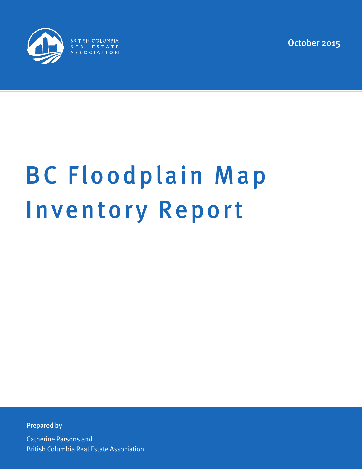

October 2015

# BC Floodplain Map Inventory Report

Prepared by

Catherine Parsons and British Columbia Real Estate Association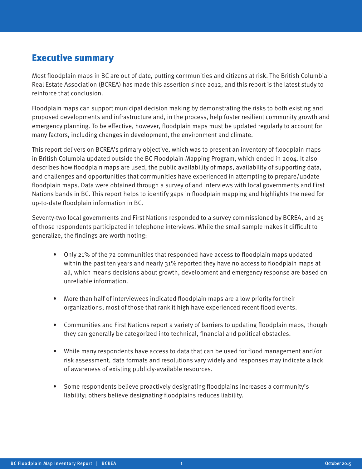## Executive summary

Most floodplain maps in BC are out of date, putting communities and citizens at risk. The British Columbia Real Estate Association (BCREA) has made this assertion since 2012, and this report is the latest study to reinforce that conclusion.

Floodplain maps can support municipal decision making by demonstrating the risks to both existing and proposed developments and infrastructure and, in the process, help foster resilient community growth and emergency planning. To be effective, however, floodplain maps must be updated regularly to account for many factors, including changes in development, the environment and climate.

This report delivers on BCREA's primary objective, which was to present an inventory of floodplain maps in British Columbia updated outside the BC Floodplain Mapping Program, which ended in 2004. It also describes how floodplain maps are used, the public availability of maps, availability of supporting data, and challenges and opportunities that communities have experienced in attempting to prepare/update floodplain maps. Data were obtained through a survey of and interviews with local governments and First Nations bands in BC. This report helps to identify gaps in floodplain mapping and highlights the need for up-to-date floodplain information in BC.

Seventy-two local governments and First Nations responded to a survey commissioned by BCREA, and 25 of those respondents participated in telephone interviews. While the small sample makes it difficult to generalize, the findings are worth noting:

- Only 21% of the 72 communities that responded have access to floodplain maps updated within the past ten years and nearly 31% reported they have no access to floodplain maps at all, which means decisions about growth, development and emergency response are based on unreliable information.
- More than half of interviewees indicated floodplain maps are a low priority for their organizations; most of those that rank it high have experienced recent flood events.
- Communities and First Nations report a variety of barriers to updating floodplain maps, though they can generally be categorized into technical, financial and political obstacles.
- While many respondents have access to data that can be used for flood management and/or risk assessment, data formats and resolutions vary widely and responses may indicate a lack of awareness of existing publicly-available resources.
- Some respondents believe proactively designating floodplains increases a community's liability; others believe designating floodplains reduces liability.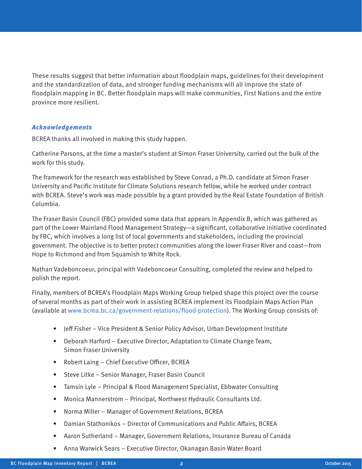These results suggest that better information about floodplain maps, guidelines for their development and the standardization of data, and stronger funding mechanisms will all improve the state of floodplain mapping in BC. Better floodplain maps will make communities, First Nations and the entire province more resilient.

#### Acknowledgements

BCREA thanks all involved in making this study happen.

Catherine Parsons, at the time a master's student at Simon Fraser University, carried out the bulk of the work for this study.

The framework for the research was established by Steve Conrad, a Ph.D. candidate at Simon Fraser University and Pacific Institute for Climate Solutions research fellow, while he worked under contract with BCREA. Steve's work was made possible by a grant provided by the Real Estate Foundation of British Columbia.

The Fraser Basin Council (FBC) provided some data that appears in Appendix B, which was gathered as part of the Lower Mainland Flood Management Strategy—a significant, collaborative initiative coordinated by FBC, which involves a long list of local governments and stakeholders, including the provincial government. The objective is to better protect communities along the lower Fraser River and coast—from Hope to Richmond and from Squamish to White Rock.

Nathan Vadeboncoeur, principal with Vadeboncoeur Consulting, completed the review and helped to polish the report.

Finally, members of BCREA's Floodplain Maps Working Group helped shape this project over the course of several months as part of their work in assisting BCREA implement its Floodplain Maps Action Plan (available at www.bcrea.bc.ca/government-relations/flood-protection). The Working Group consists of:

- Jeff Fisher Vice President & Senior Policy Advisor, Urban Development Institute
- Deborah Harford Executive Director, Adaptation to Climate Change Team, Simon Fraser University
- Robert Laing Chief Executive Officer, BCREA
- Steve Litke Senior Manager, Fraser Basin Council
- Tamsin Lyle Principal & Flood Management Specialist, Ebbwater Consulting
- Monica Mannerstrom Principal, Northwest Hydraulic Consultants Ltd.
- Norma Miller Manager of Government Relations, BCREA
- Damian Stathonikos Director of Communications and Public Affairs, BCREA
- Aaron Sutherland Manager, Government Relations, Insurance Bureau of Canada
- Anna Warwick Sears Executive Director, Okanagan Basin Water Board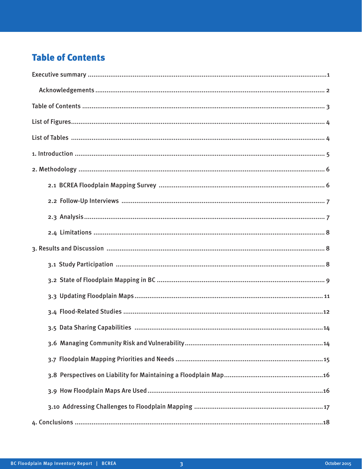# **Table of Contents**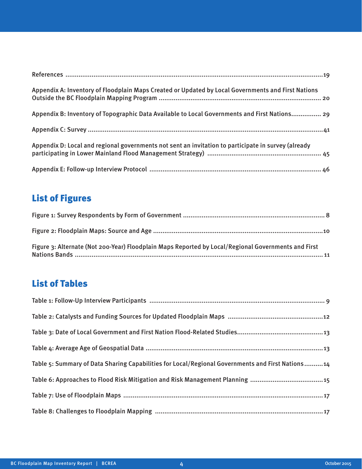| Appendix A: Inventory of Floodplain Maps Created or Updated by Local Governments and First Nations  |
|-----------------------------------------------------------------------------------------------------|
| Appendix B: Inventory of Topographic Data Available to Local Governments and First Nations 29       |
|                                                                                                     |
| Appendix D: Local and regional governments not sent an invitation to participate in survey (already |
|                                                                                                     |

# List of Figures

| Figure 3: Alternate (Not 200-Year) Floodplain Maps Reported by Local/Regional Governments and First |  |
|-----------------------------------------------------------------------------------------------------|--|

# List of Tables

| Table 5: Summary of Data Sharing Capabilities for Local/Regional Governments and First Nations14 |
|--------------------------------------------------------------------------------------------------|
|                                                                                                  |
|                                                                                                  |
|                                                                                                  |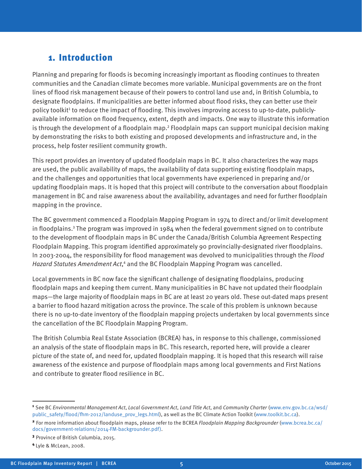# 1. Introduction

Planning and preparing for floods is becoming increasingly important as flooding continues to threaten communities and the Canadian climate becomes more variable. Municipal governments are on the front lines of flood risk management because of their powers to control land use and, in British Columbia, to designate floodplains. If municipalities are better informed about flood risks, they can better use their policy toolkit<sup>1</sup> to reduce the impact of flooding. This involves improving access to up-to-date, publiclyavailable information on flood frequency, extent, depth and impacts. One way to illustrate this information is through the development of a floodplain map.<sup>2</sup> Floodplain maps can support municipal decision making by demonstrating the risks to both existing and proposed developments and infrastructure and, in the process, help foster resilient community growth.

This report provides an inventory of updated floodplain maps in BC. It also characterizes the way maps are used, the public availability of maps, the availability of data supporting existing floodplain maps, and the challenges and opportunities that local governments have experienced in preparing and/or updating floodplain maps. It is hoped that this project will contribute to the conversation about floodplain management in BC and raise awareness about the availability, advantages and need for further floodplain mapping in the province.

The BC government commenced a Floodplain Mapping Program in 1974 to direct and/or limit development in floodplains.<sup>3</sup> The program was improved in 1984 when the federal government signed on to contribute to the development of floodplain maps in BC under the Canada/British Columbia Agreement Respecting Floodplain Mapping. This program identified approximately 90 provincially-designated river floodplains. In 2003-2004, the responsibility for flood management was devolved to municipalities through the Flood Hazard Statutes Amendment Act,<sup>4</sup> and the BC Floodplain Mapping Program was cancelled.

Local governments in BC now face the significant challenge of designating floodplains, producing floodplain maps and keeping them current. Many municipalities in BC have not updated their floodplain maps—the large majority of floodplain maps in BC are at least 20 years old. These out-dated maps present a barrier to flood hazard mitigation across the province. The scale of this problem is unknown because there is no up-to-date inventory of the floodplain mapping projects undertaken by local governments since the cancellation of the BC Floodplain Mapping Program.

The British Columbia Real Estate Association (BCREA) has, in response to this challenge, commissioned an analysis of the state of floodplain maps in BC. This research, reported here, will provide a clearer picture of the state of, and need for, updated floodplain mapping. It is hoped that this research will raise awareness of the existence and purpose of floodplain maps among local governments and First Nations and contribute to greater flood resilience in BC.

<sup>1</sup> See BC Environmental Management Act, Local Government Act, Land Title Act, and Community Charter (www.env.gov.bc.ca/wsd/ public\_safety/flood/fhm-2012/landuse\_prov\_legs.html), as well as the BC Climate Action Toolkit (www.toolkit.bc.ca).

<sup>2</sup> For more information about floodplain maps, please refer to the BCREA Floodplain Mapping Backgrounder (www.bcrea.bc.ca/ docs/government-relations/2014-FM-backgrounder.pdf).

<sup>3</sup> Province of British Columbia, 2015.

<sup>4</sup> Lyle & McLean, 2008.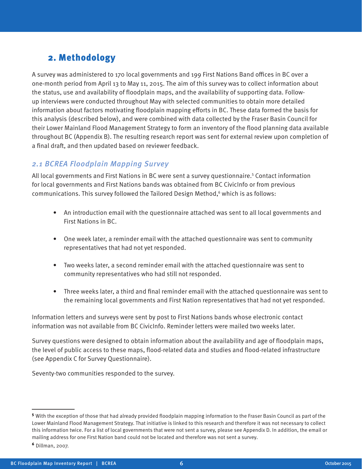# 2. Methodology

A survey was administered to 170 local governments and 199 First Nations Band offices in BC over a one-month period from April 13 to May 11, 2015. The aim of this survey was to collect information about the status, use and availability of floodplain maps, and the availability of supporting data. Followup interviews were conducted throughout May with selected communities to obtain more detailed information about factors motivating floodplain mapping efforts in BC. These data formed the basis for this analysis (described below), and were combined with data collected by the Fraser Basin Council for their Lower Mainland Flood Management Strategy to form an inventory of the flood planning data available throughout BC (Appendix B). The resulting research report was sent for external review upon completion of a final draft, and then updated based on reviewer feedback.

## 2.1 BCREA Floodplain Mapping Survey

All local governments and First Nations in BC were sent a survey questionnaire.<sup>5</sup> Contact information for local governments and First Nations bands was obtained from BC CivicInfo or from previous communications. This survey followed the Tailored Design Method,<sup>6</sup> which is as follows:

- An introduction email with the questionnaire attached was sent to all local governments and First Nations in BC.
- One week later, a reminder email with the attached questionnaire was sent to community representatives that had not yet responded.
- Two weeks later, a second reminder email with the attached questionnaire was sent to community representatives who had still not responded.
- Three weeks later, a third and final reminder email with the attached questionnaire was sent to the remaining local governments and First Nation representatives that had not yet responded.

Information letters and surveys were sent by post to First Nations bands whose electronic contact information was not available from BC CivicInfo. Reminder letters were mailed two weeks later.

Survey questions were designed to obtain information about the availability and age of floodplain maps, the level of public access to these maps, flood-related data and studies and flood-related infrastructure (see Appendix C for Survey Questionnaire).

Seventy-two communities responded to the survey.

<sup>5</sup> With the exception of those that had already provided floodplain mapping information to the Fraser Basin Council as part of the Lower Mainland Flood Management Strategy. That initiative is linked to this research and therefore it was not necessary to collect this information twice. For a list of local governments that were not sent a survey, please see Appendix D. In addition, the email or mailing address for one First Nation band could not be located and therefore was not sent a survey.

<sup>6</sup> Dillman, 2007.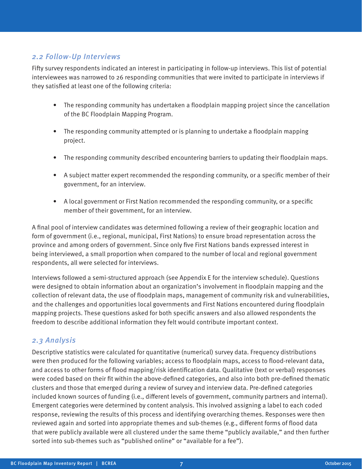#### 2.2 Follow-Up Interviews

Fifty survey respondents indicated an interest in participating in follow-up interviews. This list of potential interviewees was narrowed to 26 responding communities that were invited to participate in interviews if they satisfied at least one of the following criteria:

- The responding community has undertaken a floodplain mapping project since the cancellation of the BC Floodplain Mapping Program.
- The responding community attempted or is planning to undertake a floodplain mapping project.
- The responding community described encountering barriers to updating their floodplain maps.
- A subject matter expert recommended the responding community, or a specific member of their government, for an interview.
- A local government or First Nation recommended the responding community, or a specific member of their government, for an interview.

A final pool of interview candidates was determined following a review of their geographic location and form of government (i.e., regional, municipal, First Nations) to ensure broad representation across the province and among orders of government. Since only five First Nations bands expressed interest in being interviewed, a small proportion when compared to the number of local and regional government respondents, all were selected for interviews.

Interviews followed a semi-structured approach (see Appendix E for the interview schedule). Questions were designed to obtain information about an organization's involvement in floodplain mapping and the collection of relevant data, the use of floodplain maps, management of community risk and vulnerabilities, and the challenges and opportunities local governments and First Nations encountered during floodplain mapping projects. These questions asked for both specific answers and also allowed respondents the freedom to describe additional information they felt would contribute important context.

#### 2.3 Analysis

Descriptive statistics were calculated for quantitative (numerical) survey data. Frequency distributions were then produced for the following variables; access to floodplain maps, access to flood-relevant data, and access to other forms of flood mapping/risk identification data. Qualitative (text or verbal) responses were coded based on their fit within the above-defined categories, and also into both pre-defined thematic clusters and those that emerged during a review of survey and interview data. Pre-defined categories included known sources of funding (i.e., different levels of government, community partners and internal). Emergent categories were determined by content analysis. This involved assigning a label to each coded response, reviewing the results of this process and identifying overarching themes. Responses were then reviewed again and sorted into appropriate themes and sub-themes (e.g., different forms of flood data that were publicly available were all clustered under the same theme "publicly available," and then further sorted into sub-themes such as "published online" or "available for a fee").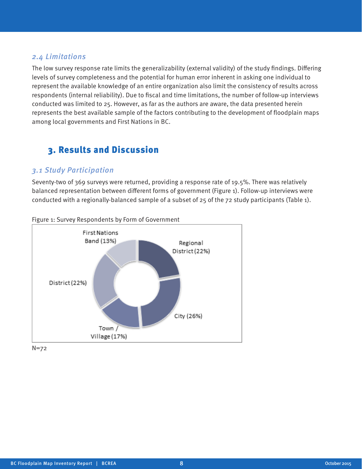#### 2.4 Limitations

The low survey response rate limits the generalizability (external validity) of the study findings. Differing levels of survey completeness and the potential for human error inherent in asking one individual to represent the available knowledge of an entire organization also limit the consistency of results across respondents (internal reliability). Due to fiscal and time limitations, the number of follow-up interviews conducted was limited to 25. However, as far as the authors are aware, the data presented herein represents the best available sample of the factors contributing to the development of floodplain maps among local governments and First Nations in BC.

## 3. Results and Discussion

#### 3.1 Study Participation

Seventy-two of 369 surveys were returned, providing a response rate of 19.5%. There was relatively balanced representation between different forms of government (Figure 1). Follow-up interviews were conducted with a regionally-balanced sample of a subset of 25 of the 72 study participants (Table 1).



Figure 1: Survey Respondents by Form of Government

N=72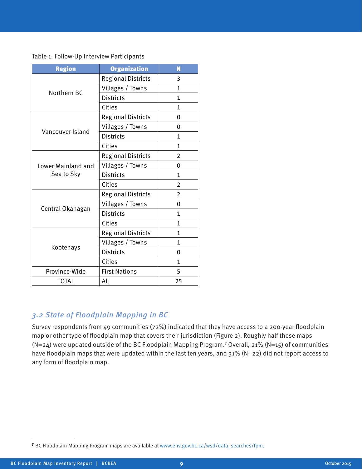Table 1: Follow-Up Interview Participants

| <b>Region</b>      | <b>Organization</b>       | Ñ              |
|--------------------|---------------------------|----------------|
|                    | <b>Regional Districts</b> | 3              |
|                    | Villages / Towns          | 1              |
| Northern BC        | <b>Districts</b>          | 1              |
|                    | Cities                    | 1              |
|                    | <b>Regional Districts</b> | 0              |
| Vancouver Island   | Villages / Towns          | 0              |
|                    | <b>Districts</b>          | $\mathbf{1}$   |
|                    | Cities                    | $\mathbf{1}$   |
|                    | <b>Regional Districts</b> | 2              |
| Lower Mainland and | Villages / Towns          | 0              |
| Sea to Sky         | <b>Districts</b>          | 1              |
|                    | Cities                    | 2              |
|                    | <b>Regional Districts</b> | $\overline{2}$ |
|                    | Villages / Towns          | 0              |
| Central Okanagan   | <b>Districts</b>          | $\mathbf{1}$   |
|                    | Cities                    | 1              |
|                    | <b>Regional Districts</b> | 1              |
| Kootenays          | Villages / Towns          | 1              |
|                    | <b>Districts</b>          | 0              |
|                    | Cities                    | 1              |
| Province-Wide      | <b>First Nations</b>      | 5              |
| <b>TOTAL</b>       | All                       | 25             |

## 3.2 State of Floodplain Mapping in BC

Survey respondents from 49 communities (72%) indicated that they have access to a 200-year floodplain map or other type of floodplain map that covers their jurisdiction (Figure 2). Roughly half these maps (N=24) were updated outside of the BC Floodplain Mapping Program.<sup>7</sup> Overall, 21% (N=15) of communities have floodplain maps that were updated within the last ten years, and 31% (N=22) did not report access to any form of floodplain map.

<sup>7</sup> BC Floodplain Mapping Program maps are available at www.env.gov.bc.ca/wsd/data\_searches/fpm.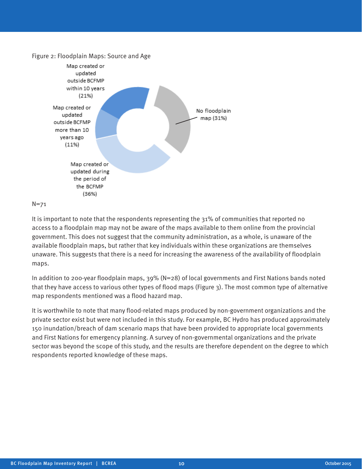

#### N=71

It is important to note that the respondents representing the 31% of communities that reported no access to a floodplain map may not be aware of the maps available to them online from the provincial government. This does not suggest that the community administration, as a whole, is unaware of the available floodplain maps, but rather that key individuals within these organizations are themselves unaware. This suggests that there is a need for increasing the awareness of the availability of floodplain maps.

In addition to 200-year floodplain maps,  $39\%$  (N=28) of local governments and First Nations bands noted that they have access to various other types of flood maps (Figure 3). The most common type of alternative map respondents mentioned was a flood hazard map.

It is worthwhile to note that many flood-related maps produced by non-government organizations and the private sector exist but were not included in this study. For example, BC Hydro has produced approximately 150 inundation/breach of dam scenario maps that have been provided to appropriate local governments and First Nations for emergency planning. A survey of non-governmental organizations and the private sector was beyond the scope of this study, and the results are therefore dependent on the degree to which respondents reported knowledge of these maps.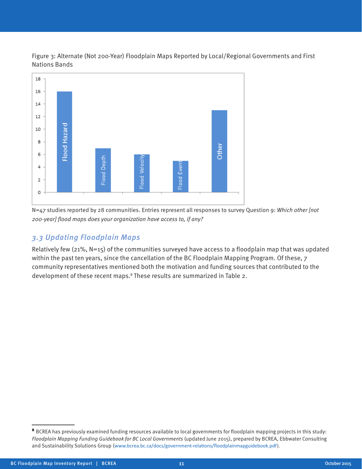Figure 3: Alternate (Not 200-Year) Floodplain Maps Reported by Local/Regional Governments and First Nations Bands



N=47 studies reported by 28 communities. Entries represent all responses to survey Question 9: Which other [not 200-year] flood maps does your organization have access to, if any?

## 3.3 Updating Floodplain Maps

Relatively few (21%, N=15) of the communities surveyed have access to a floodplain map that was updated within the past ten years, since the cancellation of the BC Floodplain Mapping Program. Of these, 7 community representatives mentioned both the motivation and funding sources that contributed to the development of these recent maps.<sup>8</sup> These results are summarized in Table 2.

<sup>8</sup> BCREA has previously examined funding resources available to local governments for floodplain mapping projects in this study: Floodplain Mapping Funding Guidebook for BC Local Governments (updated June 2015), prepared by BCREA, Ebbwater Consulting and Sustainability Solutions Group (www.bcrea.bc.ca/docs/government-relations/floodplainmapguidebook.pdf).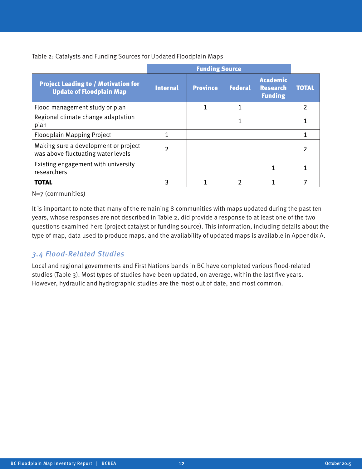Table 2: Catalysts and Funding Sources for Updated Floodplain Maps

|                                                                               |                 | <b>Funding Source</b> |                |                                                      |              |
|-------------------------------------------------------------------------------|-----------------|-----------------------|----------------|------------------------------------------------------|--------------|
| <b>Project Leading to / Motivation for</b><br><b>Update of Floodplain Map</b> | <b>Internal</b> | <b>Province</b>       | <b>Federal</b> | <b>Academic</b><br><b>Research</b><br><b>Funding</b> | <b>TOTAL</b> |
| Flood management study or plan                                                |                 |                       |                |                                                      |              |
| Regional climate change adaptation<br>plan                                    |                 |                       |                |                                                      |              |
| <b>Floodplain Mapping Project</b>                                             |                 |                       |                |                                                      |              |
| Making sure a development or project<br>was above fluctuating water levels    |                 |                       |                |                                                      |              |
| Existing engagement with university<br>researchers                            |                 |                       |                |                                                      |              |
| <b>TOTAL</b>                                                                  |                 |                       |                |                                                      |              |

N=7 (communities)

It is important to note that many of the remaining 8 communities with maps updated during the past ten years, whose responses are not described in Table 2, did provide a response to at least one of the two questions examined here (project catalyst or funding source). This information, including details about the type of map, data used to produce maps, and the availability of updated maps is available in Appendix A.

#### 3.4 Flood-Related Studies

Local and regional governments and First Nations bands in BC have completed various flood-related studies (Table 3). Most types of studies have been updated, on average, within the last five years. However, hydraulic and hydrographic studies are the most out of date, and most common.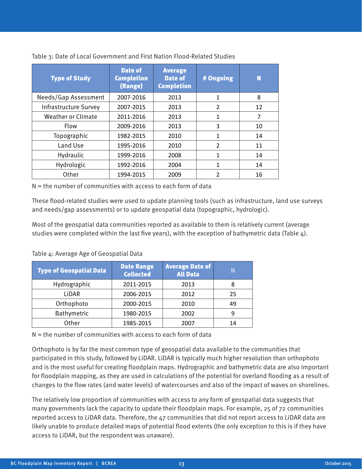| <b>Type of Study</b>         | <b>Date of</b><br><b>Completion</b><br>(Range) | <b>Average</b><br><b>Date of</b><br><b>Completion</b> | # Ongoing      | N  |
|------------------------------|------------------------------------------------|-------------------------------------------------------|----------------|----|
| Needs/Gap Assessment         | 2007-2016                                      | 2013                                                  | 1              | 8  |
| <b>Infrastructure Survey</b> | 2007-2015                                      | 2013                                                  | $\overline{2}$ | 12 |
| Weather or Climate           | 2011-2016                                      | 2013                                                  | $\mathbf{1}$   | 7  |
| Flow                         | 2009-2016                                      | 2013                                                  | 3              | 10 |
| Topographic                  | 1982-2015                                      | 2010                                                  | 1              | 14 |
| Land Use                     | 1995-2016                                      | 2010                                                  | $\overline{2}$ | 11 |
| Hydraulic                    | 1999-2016                                      | 2008                                                  | 1              | 14 |
| Hydrologic                   | 1992-2016                                      | 2004                                                  | 1              | 14 |
| Other                        | 1994-2015                                      | 2009                                                  | $\overline{2}$ | 16 |

Table 3: Date of Local Government and First Nation Flood-Related Studies

N = the number of communities with access to each form of data

These flood-related studies were used to update planning tools (such as infrastructure, land use surveys and needs/gap assessments) or to update geospatial data (topographic, hydrologic).

Most of the geospatial data communities reported as available to them is relatively current (average studies were completed within the last five years), with the exception of bathymetric data (Table 4).

| <b>Type of Geospatial Data</b> | <b>Date Range</b><br><b>Collected</b> | <b>Average Date of</b><br><b>All Data</b> | N  |
|--------------------------------|---------------------------------------|-------------------------------------------|----|
| Hydrographic                   | 2011-2015                             | 2013                                      | 8  |
| LIDAR                          | 2006-2015                             | 2012                                      | 25 |
| Orthophoto                     | 2000-2015                             | 2010                                      | 49 |
| Bathymetric                    | 1980-2015                             | 2002                                      | 9  |
| Other                          | 1985-2015                             | 2007                                      | 14 |

Table 4: Average Age of Geospatial Data

 $N =$  the number of communities with access to each form of data

Orthophoto is by far the most common type of geospatial data available to the communities that participated in this study, followed by LiDAR. LiDAR is typically much higher resolution than orthophoto and is the most useful for creating floodplain maps. Hydrographic and bathymetric data are also important for floodplain mapping, as they are used in calculations of the potential for overland flooding as a result of changes to the flow rates (and water levels) of watercourses and also of the impact of waves on shorelines.

The relatively low proportion of communities with access to any form of geospatial data suggests that many governments lack the capacity to update their floodplain maps. For example, 25 of 72 communities reported access to LiDAR data. Therefore, the 47 communities that did not report access to LiDAR data are likely unable to produce detailed maps of potential flood extents (the only exception to this is if they have access to LiDAR, but the respondent was unaware).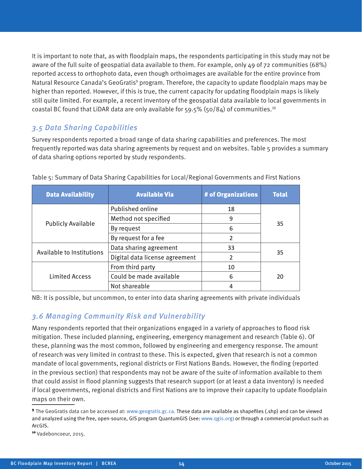It is important to note that, as with floodplain maps, the respondents participating in this study may not be aware of the full suite of geospatial data available to them. For example, only 49 of 72 communities (68%) reported access to orthophoto data, even though orthoimages are available for the entire province from Natural Resource Canada's GeoGratis<sup>9</sup> program. Therefore, the capacity to update floodplain maps may be higher than reported. However, if this is true, the current capacity for updating floodplain maps is likely still quite limited. For example, a recent inventory of the geospatial data available to local governments in coastal BC found that LiDAR data are only available for 59.5% (50/84) of communities.<sup>10</sup>

#### 3.5 Data Sharing Capabilities

Survey respondents reported a broad range of data sharing capabilities and preferences. The most frequently reported was data sharing agreements by request and on websites. Table 5 provides a summary of data sharing options reported by study respondents.

| <b>Data Availability</b>  | <b>Available Via</b>                | # of Organizations | <b>Total</b> |
|---------------------------|-------------------------------------|--------------------|--------------|
|                           | Published online                    | 18                 |              |
|                           | Method not specified                | 9                  |              |
| <b>Publicly Available</b> | By request                          | 6                  | 35           |
|                           | By request for a fee                | 2                  |              |
|                           | Data sharing agreement              | 33                 |              |
| Available to Institutions | Digital data license agreement<br>2 |                    | 35           |
|                           | From third party                    | 10                 |              |
| <b>Limited Access</b>     | Could be made available             | 6                  | 20           |
|                           | Not shareable                       | 4                  |              |

Table 5: Summary of Data Sharing Capabilities for Local/Regional Governments and First Nations

NB: It is possible, but uncommon, to enter into data sharing agreements with private individuals

#### 3.6 Managing Community Risk and Vulnerability

Many respondents reported that their organizations engaged in a variety of approaches to flood risk mitigation. These included planning, engineering, emergency management and research (Table 6). Of these, planning was the most common, followed by engineering and emergency response. The amount of research was very limited in contrast to these. This is expected, given that research is not a common mandate of local governments, regional districts or First Nations Bands. However, the finding (reported in the previous section) that respondents may not be aware of the suite of information available to them that could assist in flood planning suggests that research support (or at least a data inventory) is needed if local governments, regional districts and First Nations are to improve their capacity to update floodplain maps on their own.

<sup>9</sup> The GeoGratis data can be accessed at: www.geogratis.gc.ca. These data are available as shapefiles (.shp) and can be viewed and analyzed using the free, open-source, GIS program QuantumGIS (see: www.qgis.org) or through a commercial product such as ArcGIS.

<sup>10</sup> Vadeboncoeur, 2015.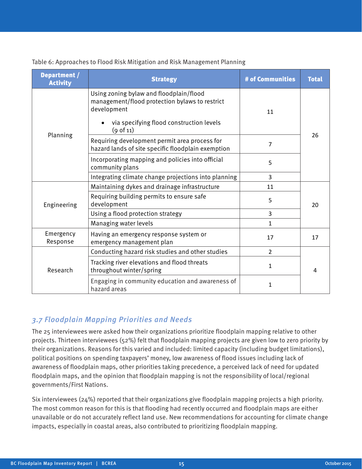Table 6: Approaches to Flood Risk Mitigation and Risk Management Planning

| Department /<br><b>Activity</b> | <b>Strategy</b>                                                                                                                                                   | # of Communities | <b>Total</b> |  |
|---------------------------------|-------------------------------------------------------------------------------------------------------------------------------------------------------------------|------------------|--------------|--|
|                                 | Using zoning bylaw and floodplain/flood<br>management/flood protection bylaws to restrict<br>development<br>via specifying flood construction levels<br>(9 of 11) | 11               |              |  |
| Planning                        | Requiring development permit area process for<br>hazard lands of site specific floodplain exemption                                                               | 7                | 26           |  |
|                                 | Incorporating mapping and policies into official<br>community plans                                                                                               | 5                |              |  |
|                                 | Integrating climate change projections into planning                                                                                                              | 3                |              |  |
|                                 | Maintaining dykes and drainage infrastructure                                                                                                                     | 11               |              |  |
| Engineering                     | Requiring building permits to ensure safe<br>development                                                                                                          | 5                |              |  |
|                                 | Using a flood protection strategy                                                                                                                                 | 3                |              |  |
|                                 | Managing water levels                                                                                                                                             | 1                |              |  |
| Emergency<br>Response           | Having an emergency response system or<br>emergency management plan                                                                                               | 17               | 17           |  |
| Research                        | Conducting hazard risk studies and other studies                                                                                                                  | $\overline{2}$   |              |  |
|                                 | Tracking river elevations and flood threats<br>throughout winter/spring                                                                                           | $\mathbf{1}$     | 4            |  |
|                                 | Engaging in community education and awareness of<br>hazard areas                                                                                                  | $\mathbf{1}$     |              |  |

## 3.7 Floodplain Mapping Priorities and Needs

The 25 interviewees were asked how their organizations prioritize floodplain mapping relative to other projects. Thirteen interviewees (52%) felt that floodplain mapping projects are given low to zero priority by their organizations. Reasons for this varied and included: limited capacity (including budget limitations), political positions on spending taxpayers' money, low awareness of flood issues including lack of awareness of floodplain maps, other priorities taking precedence, a perceived lack of need for updated floodplain maps, and the opinion that floodplain mapping is not the responsibility of local/regional governments/First Nations.

Six interviewees (24%) reported that their organizations give floodplain mapping projects a high priority. The most common reason for this is that flooding had recently occurred and floodplain maps are either unavailable or do not accurately reflect land use. New recommendations for accounting for climate change impacts, especially in coastal areas, also contributed to prioritizing floodplain mapping.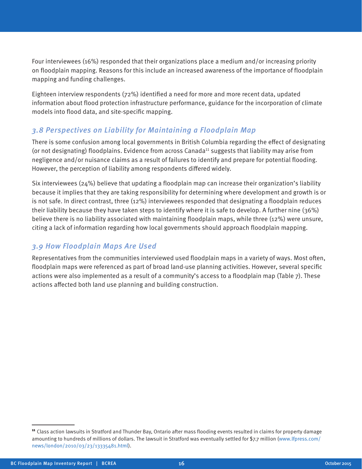Four interviewees (16%) responded that their organizations place a medium and/or increasing priority on floodplain mapping. Reasons for this include an increased awareness of the importance of floodplain mapping and funding challenges.

Eighteen interview respondents (72%) identified a need for more and more recent data, updated information about flood protection infrastructure performance, guidance for the incorporation of climate models into flood data, and site-specific mapping.

#### 3.8 Perspectives on Liability for Maintaining a Floodplain Map

There is some confusion among local governments in British Columbia regarding the effect of designating (or not designating) floodplains. Evidence from across Canada<sup>11</sup> suggests that liability may arise from negligence and/or nuisance claims as a result of failures to identify and prepare for potential flooding. However, the perception of liability among respondents differed widely.

Six interviewees (24%) believe that updating a floodplain map can increase their organization's liability because it implies that they are taking responsibility for determining where development and growth is or is not safe. In direct contrast, three (12%) interviewees responded that designating a floodplain reduces their liability because they have taken steps to identify where it is safe to develop. A further nine (36%) believe there is no liability associated with maintaining floodplain maps, while three (12%) were unsure, citing a lack of information regarding how local governments should approach floodplain mapping.

## 3.9 How Floodplain Maps Are Used

Representatives from the communities interviewed used floodplain maps in a variety of ways. Most often, floodplain maps were referenced as part of broad land-use planning activities. However, several specific actions were also implemented as a result of a community's access to a floodplain map (Table 7). These actions affected both land use planning and building construction.

<sup>&</sup>lt;sup>11</sup> Class action lawsuits in Stratford and Thunder Bay, Ontario after mass flooding events resulted in claims for property damage amounting to hundreds of millions of dollars. The lawsuit in Stratford was eventually settled for \$7.7 million (www.lfpress.com/ news/london/2010/03/23/13335481.html).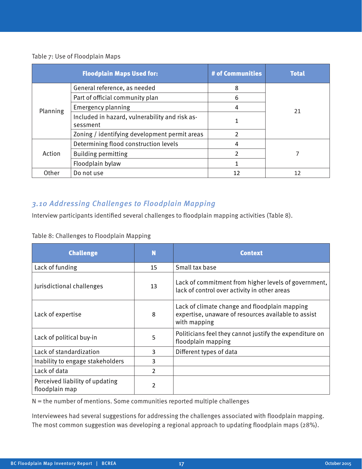#### Table 7: Use of Floodplain Maps

|          | <b>Floodplain Maps Used for:</b>                           | # of Communities | <b>Total</b> |  |
|----------|------------------------------------------------------------|------------------|--------------|--|
|          | General reference, as needed                               | 8                |              |  |
|          | Part of official community plan                            | 6                |              |  |
| Planning | <b>Emergency planning</b>                                  | 4                | 21           |  |
|          | Included in hazard, vulnerability and risk as-<br>sessment |                  |              |  |
|          | Zoning / identifying development permit areas              | 2                |              |  |
|          | Determining flood construction levels                      | 4                |              |  |
| Action   | <b>Building permitting</b>                                 | 2                |              |  |
|          | Floodplain bylaw                                           |                  |              |  |
| Other    | Do not use                                                 | 12               | 12           |  |

#### 3.10 Addressing Challenges to Floodplain Mapping

Interview participants identified several challenges to floodplain mapping activities (Table 8).

#### Table 8: Challenges to Floodplain Mapping

| <b>Challenge</b>                                  | N              | <b>Context</b>                                                                                                       |
|---------------------------------------------------|----------------|----------------------------------------------------------------------------------------------------------------------|
| Lack of funding                                   | 15             | Small tax base                                                                                                       |
| Jurisdictional challenges                         | 13             | Lack of commitment from higher levels of government,<br>lack of control over activity in other areas                 |
| Lack of expertise                                 | 8              | Lack of climate change and floodplain mapping<br>expertise, unaware of resources available to assist<br>with mapping |
| Lack of political buy-in                          | 5              | Politicians feel they cannot justify the expenditure on<br>floodplain mapping                                        |
| Lack of standardization                           | 3              | Different types of data                                                                                              |
| Inability to engage stakeholders                  | 3              |                                                                                                                      |
| Lack of data                                      | $\overline{2}$ |                                                                                                                      |
| Perceived liability of updating<br>floodplain map | 2              |                                                                                                                      |

 $N =$  the number of mentions. Some communities reported multiple challenges

Interviewees had several suggestions for addressing the challenges associated with floodplain mapping. The most common suggestion was developing a regional approach to updating floodplain maps (28%).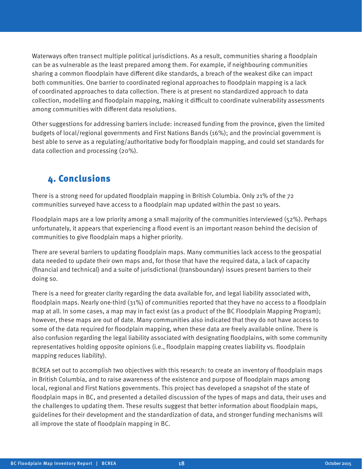Waterways often transect multiple political jurisdictions. As a result, communities sharing a floodplain can be as vulnerable as the least prepared among them. For example, if neighbouring communities sharing a common floodplain have different dike standards, a breach of the weakest dike can impact both communities. One barrier to coordinated regional approaches to floodplain mapping is a lack of coordinated approaches to data collection. There is at present no standardized approach to data collection, modelling and floodplain mapping, making it difficult to coordinate vulnerability assessments among communities with different data resolutions.

Other suggestions for addressing barriers include: increased funding from the province, given the limited budgets of local/regional governments and First Nations Bands (16%); and the provincial government is best able to serve as a regulating/authoritative body for floodplain mapping, and could set standards for data collection and processing (20%).

## 4. Conclusions

There is a strong need for updated floodplain mapping in British Columbia. Only 21% of the 72 communities surveyed have access to a floodplain map updated within the past 10 years.

Floodplain maps are a low priority among a small majority of the communities interviewed (52%). Perhaps unfortunately, it appears that experiencing a flood event is an important reason behind the decision of communities to give floodplain maps a higher priority.

There are several barriers to updating floodplain maps. Many communities lack access to the geospatial data needed to update their own maps and, for those that have the required data, a lack of capacity (financial and technical) and a suite of jurisdictional (transboundary) issues present barriers to their doing so.

There is a need for greater clarity regarding the data available for, and legal liability associated with, floodplain maps. Nearly one-third (31%) of communities reported that they have no access to a floodplain map at all. In some cases, a map may in fact exist (as a product of the BC Floodplain Mapping Program); however, these maps are out of date. Many communities also indicated that they do not have access to some of the data required for floodplain mapping, when these data are freely available online. There is also confusion regarding the legal liability associated with designating floodplains, with some community representatives holding opposite opinions (i.e., floodplain mapping creates liability vs. floodplain mapping reduces liability).

BCREA set out to accomplish two objectives with this research: to create an inventory of floodplain maps in British Columbia, and to raise awareness of the existence and purpose of floodplain maps among local, regional and First Nations governments. This project has developed a snapshot of the state of floodplain maps in BC, and presented a detailed discussion of the types of maps and data, their uses and the challenges to updating them. These results suggest that better information about floodplain maps, guidelines for their development and the standardization of data, and stronger funding mechanisms will all improve the state of floodplain mapping in BC.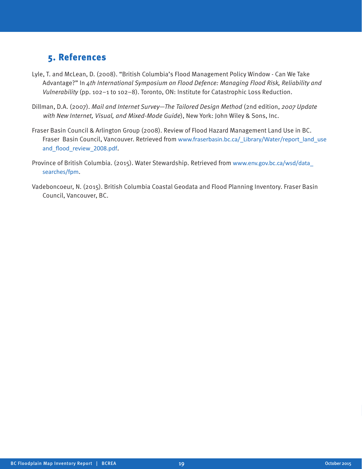# 5. References

- Lyle, T. and McLean, D. (2008). "British Columbia's Flood Management Policy Window Can We Take Advantage?" In 4th International Symposium on Flood Defence: Managing Flood Risk, Reliability and Vulnerability (pp. 102–1 to 102–8). Toronto, ON: Institute for Catastrophic Loss Reduction.
- Dillman, D.A. (2007). Mail and Internet Survey—The Tailored Design Method (2nd edition, 2007 Update with New Internet, Visual, and Mixed-Mode Guide), New York: John Wiley & Sons, Inc.
- Fraser Basin Council & Arlington Group (2008). Review of Flood Hazard Management Land Use in BC. Fraser Basin Council, Vancouver. Retrieved from www.fraserbasin.bc.ca/\_Library/Water/report\_land\_use and\_flood\_review\_2008.pdf.
- Province of British Columbia. (2015). Water Stewardship. Retrieved from www.env.gov.bc.ca/wsd/data\_ searches/fpm.
- Vadeboncoeur, N. (2015). British Columbia Coastal Geodata and Flood Planning Inventory. Fraser Basin Council, Vancouver, BC.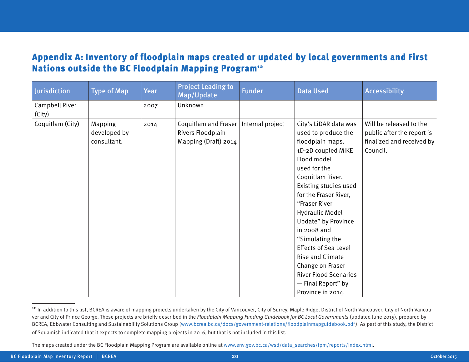## Appendix A: Inventory of floodplain maps created or updated by local governments and First Nations outside the BC Floodplain Mapping Program<sup>12</sup>

| Jurisdiction             | <b>Type of Map</b>                     | Year | <b>Project Leading to</b><br>Map/Update                           | <b>Funder</b>    | <b>Data Used</b>                                                                                                                                                                                                                                                                                                                                                                                                                                  | <b>Accessibility</b>                                                                           |
|--------------------------|----------------------------------------|------|-------------------------------------------------------------------|------------------|---------------------------------------------------------------------------------------------------------------------------------------------------------------------------------------------------------------------------------------------------------------------------------------------------------------------------------------------------------------------------------------------------------------------------------------------------|------------------------------------------------------------------------------------------------|
| Campbell River<br>(City) |                                        | 2007 | Unknown                                                           |                  |                                                                                                                                                                                                                                                                                                                                                                                                                                                   |                                                                                                |
| Coquitlam (City)         | Mapping<br>developed by<br>consultant. | 2014 | Coquitlam and Fraser<br>Rivers Floodplain<br>Mapping (Draft) 2014 | Internal project | City's LiDAR data was<br>used to produce the<br>floodplain maps.<br>1D-2D coupled MIKE<br>Flood model<br>used for the<br>Coquitlam River.<br>Existing studies used<br>for the Fraser River,<br>"Fraser River<br><b>Hydraulic Model</b><br>Update" by Province<br>in 2008 and<br>"Simulating the<br><b>Effects of Sea Level</b><br>Rise and Climate<br>Change on Fraser<br><b>River Flood Scenarios</b><br>- Final Report" by<br>Province in 2014. | Will be released to the<br>public after the report is<br>finalized and received by<br>Council. |

<sup>&</sup>lt;sup>12</sup> In addition to this list, BCREA is aware of mapping projects undertaken by the City of Vancouver, City of Surrey, Maple Ridge, District of North Vancouver, City of North Vancouver and City of Prince George. These projects are briefly described in the Floodplain Mapping Funding Guidebook for BC Local Governments (updated June 2015), prepared by BCREA, Ebbwater Consulting and Sustainability Solutions Group (www.bcrea.bc.ca/docs/government-relations/floodplainmapguidebook.pdf). As part of this study, the District of Squamish indicated that it expects to complete mapping projects in 2016, but that is not included in this list.

The maps created under the BC Floodplain Mapping Program are available online at www.env.gov.bc.ca/wsd/data\_searches/fpm/reports/index.html.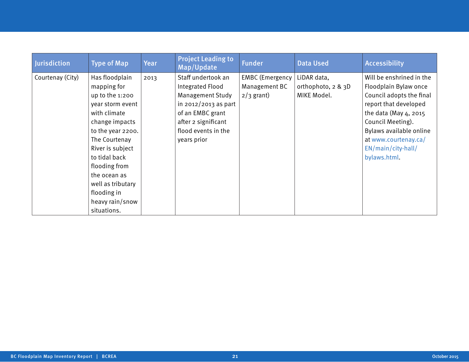| Jurisdiction     | <b>Type of Map</b>                                                                                                                                                                                                                                                                       | Year | <b>Project Leading to</b><br>Map/Update                                                                                                                                    | <b>Funder</b>                                           | <b>Data Used</b>                                 | <b>Accessibility</b>                                                                                                                                                                                                                          |
|------------------|------------------------------------------------------------------------------------------------------------------------------------------------------------------------------------------------------------------------------------------------------------------------------------------|------|----------------------------------------------------------------------------------------------------------------------------------------------------------------------------|---------------------------------------------------------|--------------------------------------------------|-----------------------------------------------------------------------------------------------------------------------------------------------------------------------------------------------------------------------------------------------|
| Courtenay (City) | Has floodplain<br>mapping for<br>up to the 1:200<br>year storm event<br>with climate<br>change impacts<br>to the year 2200.<br>The Courtenay<br>River is subject<br>to tidal back<br>flooding from<br>the ocean as<br>well as tributary<br>flooding in<br>heavy rain/snow<br>situations. | 2013 | Staff undertook an<br>Integrated Flood<br><b>Management Study</b><br>in 2012/2013 as part<br>of an EMBC grant<br>after 2 significant<br>flood events in the<br>years prior | <b>EMBC</b> (Emergency<br>Management BC<br>$2/3$ grant) | LiDAR data,<br>orthophoto, 2 & 3D<br>MIKE Model. | Will be enshrined in the<br>Floodplain Bylaw once<br>Council adopts the final<br>report that developed<br>the data (May 4, 2015<br>Council Meeting).<br>Bylaws available online<br>at www.courtenay.ca/<br>EN/main/city-hall/<br>bylaws.html. |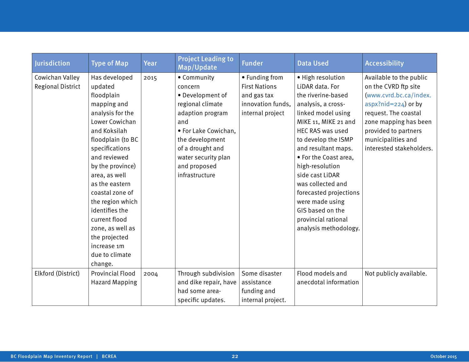| Jurisdiction             | <b>Type of Map</b>      | <b>Year</b> | <b>Project Leading to</b><br>Map/Update | <b>Funder</b>        | <b>Data Used</b>        | <b>Accessibility</b>     |
|--------------------------|-------------------------|-------------|-----------------------------------------|----------------------|-------------------------|--------------------------|
| Cowichan Valley          | Has developed           | 2015        | • Community                             | • Funding from       | • High resolution       | Available to the public  |
| <b>Regional District</b> | updated                 |             | concern                                 | <b>First Nations</b> | LiDAR data. For         | on the CVRD ftp site     |
|                          | floodplain              |             | • Development of                        | and gas tax          | the riverine-based      | (www.cvrd.bc.ca/index.   |
|                          | mapping and             |             | regional climate                        | innovation funds,    | analysis, a cross-      | aspx?nid= $224$ ) or by  |
|                          | analysis for the        |             | adaption program                        | internal project     | linked model using      | request. The coastal     |
|                          | Lower Cowichan          |             | and                                     |                      | MIKE 11, MIKE 21 and    | zone mapping has been    |
|                          | and Koksilah            |             | • For Lake Cowichan,                    |                      | <b>HEC RAS was used</b> | provided to partners     |
|                          | floodplain (to BC       |             | the development                         |                      | to develop the ISMP     | municipalities and       |
|                          | specifications          |             | of a drought and                        |                      | and resultant maps.     | interested stakeholders. |
|                          | and reviewed            |             | water security plan                     |                      | • For the Coast area,   |                          |
|                          | by the province)        |             | and proposed                            |                      | high-resolution         |                          |
|                          | area, as well           |             | infrastructure                          |                      | side cast LiDAR         |                          |
|                          | as the eastern          |             |                                         |                      | was collected and       |                          |
|                          | coastal zone of         |             |                                         |                      | forecasted projections  |                          |
|                          | the region which        |             |                                         |                      | were made using         |                          |
|                          | identifies the          |             |                                         |                      | GIS based on the        |                          |
|                          | current flood           |             |                                         |                      | provincial rational     |                          |
|                          | zone, as well as        |             |                                         |                      | analysis methodology.   |                          |
|                          | the projected           |             |                                         |                      |                         |                          |
|                          | increase 1m             |             |                                         |                      |                         |                          |
|                          | due to climate          |             |                                         |                      |                         |                          |
|                          | change.                 |             |                                         |                      |                         |                          |
| Elkford (District)       | <b>Provincial Flood</b> | 2004        | Through subdivision                     | Some disaster        | Flood models and        | Not publicly available.  |
|                          | <b>Hazard Mapping</b>   |             | and dike repair, have                   | assistance           | anecdotal information   |                          |
|                          |                         |             | had some area-                          | funding and          |                         |                          |
|                          |                         |             | specific updates.                       | internal project.    |                         |                          |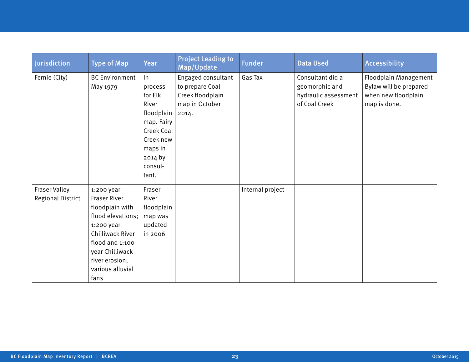| Jurisdiction                                     | <b>Type of Map</b>                                                                                                                                                                              | Year                                                                                                                                  | <b>Project Leading to</b><br>Map/Update                                              | <b>Funder</b>    | <b>Data Used</b>                                                            | <b>Accessibility</b>                                                                   |
|--------------------------------------------------|-------------------------------------------------------------------------------------------------------------------------------------------------------------------------------------------------|---------------------------------------------------------------------------------------------------------------------------------------|--------------------------------------------------------------------------------------|------------------|-----------------------------------------------------------------------------|----------------------------------------------------------------------------------------|
| Fernie (City)                                    | <b>BC</b> Environment<br>May 1979                                                                                                                                                               | $\ln$<br>process<br>for Elk<br>River<br>floodplain<br>map. Fairy<br>Creek Coal<br>Creek new<br>maps in<br>2014 by<br>consul-<br>tant. | Engaged consultant<br>to prepare Coal<br>Creek floodplain<br>map in October<br>2014. | Gas Tax          | Consultant did a<br>geomorphic and<br>hydraulic assessment<br>of Coal Creek | Floodplain Management<br>Bylaw will be prepared<br>when new floodplain<br>map is done. |
| <b>Fraser Valley</b><br><b>Regional District</b> | 1:200 year<br><b>Fraser River</b><br>floodplain with<br>flood elevations;<br>1:200 year<br>Chilliwack River<br>flood and 1:100<br>year Chilliwack<br>river erosion;<br>various alluvial<br>fans | Fraser<br>River<br>floodplain<br>map was<br>updated<br>in 2006                                                                        |                                                                                      | Internal project |                                                                             |                                                                                        |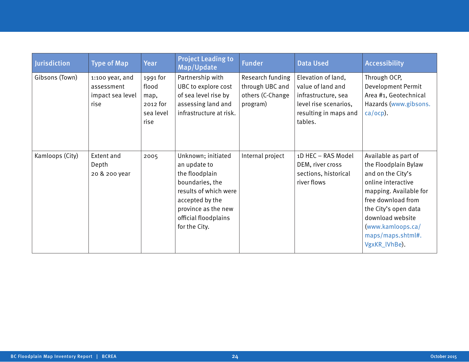| <b>Jurisdiction</b> | <b>Type of Map</b>                                        | <b>Year</b>                                                | <b>Project Leading to</b><br>Map/Update                                                                                                                                             | <b>Funder</b>                                                       | <b>Data Used</b>                                                                                                            | <b>Accessibility</b>                                                                                                                                                                                                                           |
|---------------------|-----------------------------------------------------------|------------------------------------------------------------|-------------------------------------------------------------------------------------------------------------------------------------------------------------------------------------|---------------------------------------------------------------------|-----------------------------------------------------------------------------------------------------------------------------|------------------------------------------------------------------------------------------------------------------------------------------------------------------------------------------------------------------------------------------------|
| Gibsons (Town)      | 1:100 year, and<br>assessment<br>impact sea level<br>rise | 1991 for<br>flood<br>map,<br>2012 for<br>sea level<br>rise | Partnership with<br>UBC to explore cost<br>of sea level rise by<br>assessing land and<br>infrastructure at risk.                                                                    | Research funding<br>through UBC and<br>others (C-Change<br>program) | Elevation of land,<br>value of land and<br>infrastructure, sea<br>level rise scenarios,<br>resulting in maps and<br>tables. | Through OCP,<br>Development Permit<br>Area #1, Geotechnical<br>Hazards (www.gibsons.<br>$ca/ocp$ ).                                                                                                                                            |
| Kamloops (City)     | Extent and<br>Depth<br>20 & 200 year                      | 2005                                                       | Unknown; initiated<br>an update to<br>the floodplain<br>boundaries, the<br>results of which were<br>accepted by the<br>province as the new<br>official floodplains<br>for the City. | Internal project                                                    | 1D HEC - RAS Model<br>DEM, river cross<br>sections, historical<br>river flows                                               | Available as part of<br>the Floodplain Bylaw<br>and on the City's<br>online interactive<br>mapping. Available for<br>free download from<br>the City's open data<br>download website<br>(www.kamloops.ca/<br>maps/maps.shtml#.<br>VgxKR_lVhBe). |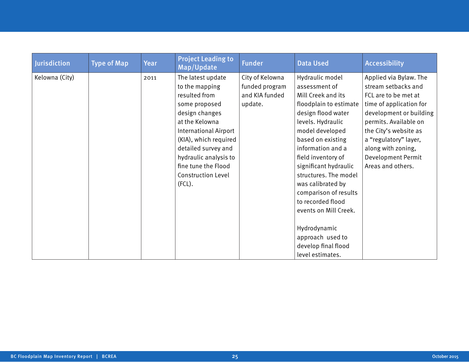| Jurisdiction   | <b>Type of Map</b> | Year | <b>Project Leading to</b><br>Map/Update                                                                                                                                                                                                                                      | <b>Funder</b>                                                  | <b>Data Used</b>                                                                                                                                                                                                                                                                                                                                                                                                                            | <b>Accessibility</b>                                                                                                                                                                                                                                                           |
|----------------|--------------------|------|------------------------------------------------------------------------------------------------------------------------------------------------------------------------------------------------------------------------------------------------------------------------------|----------------------------------------------------------------|---------------------------------------------------------------------------------------------------------------------------------------------------------------------------------------------------------------------------------------------------------------------------------------------------------------------------------------------------------------------------------------------------------------------------------------------|--------------------------------------------------------------------------------------------------------------------------------------------------------------------------------------------------------------------------------------------------------------------------------|
| Kelowna (City) |                    | 2011 | The latest update<br>to the mapping<br>resulted from<br>some proposed<br>design changes<br>at the Kelowna<br>International Airport<br>(KIA), which required<br>detailed survey and<br>hydraulic analysis to<br>fine tune the Flood<br><b>Construction Level</b><br>$(FCL)$ . | City of Kelowna<br>funded program<br>and KIA funded<br>update. | Hydraulic model<br>assessment of<br>Mill Creek and its<br>floodplain to estimate<br>design flood water<br>levels. Hydraulic<br>model developed<br>based on existing<br>information and a<br>field inventory of<br>significant hydraulic<br>structures. The model<br>was calibrated by<br>comparison of results<br>to recorded flood<br>events on Mill Creek.<br>Hydrodynamic<br>approach used to<br>develop final flood<br>level estimates. | Applied via Bylaw. The<br>stream setbacks and<br>FCL are to be met at<br>time of application for<br>development or building<br>permits. Available on<br>the City's website as<br>a "regulatory" layer,<br>along with zoning,<br><b>Development Permit</b><br>Areas and others. |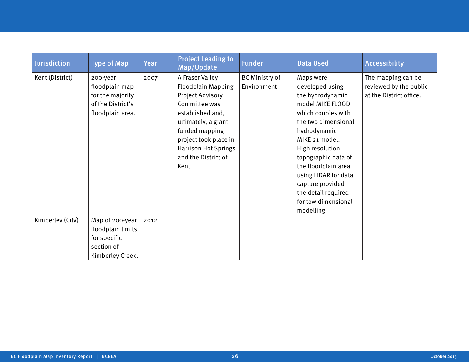| Jurisdiction     | <b>Type of Map</b>                                                                      | Year | <b>Project Leading to</b><br>Map/Update                                                                                                                                                                                               | <b>Funder</b>                        | <b>Data Used</b>                                                                                                                                                                                                                                                                                                            | <b>Accessibility</b>                                                    |
|------------------|-----------------------------------------------------------------------------------------|------|---------------------------------------------------------------------------------------------------------------------------------------------------------------------------------------------------------------------------------------|--------------------------------------|-----------------------------------------------------------------------------------------------------------------------------------------------------------------------------------------------------------------------------------------------------------------------------------------------------------------------------|-------------------------------------------------------------------------|
| Kent (District)  | 200-year<br>floodplain map<br>for the majority<br>of the District's<br>floodplain area. | 2007 | A Fraser Valley<br><b>Floodplain Mapping</b><br>Project Advisory<br>Committee was<br>established and,<br>ultimately, a grant<br>funded mapping<br>project took place in<br><b>Harrison Hot Springs</b><br>and the District of<br>Kent | <b>BC Ministry of</b><br>Environment | Maps were<br>developed using<br>the hydrodynamic<br>model MIKE FLOOD<br>which couples with<br>the two dimensional<br>hydrodynamic<br>MIKE 21 model.<br>High resolution<br>topographic data of<br>the floodplain area<br>using LIDAR for data<br>capture provided<br>the detail required<br>for tow dimensional<br>modelling | The mapping can be<br>reviewed by the public<br>at the District office. |
| Kimberley (City) | Map of 200-year<br>floodplain limits<br>for specific<br>section of<br>Kimberley Creek.  | 2012 |                                                                                                                                                                                                                                       |                                      |                                                                                                                                                                                                                                                                                                                             |                                                                         |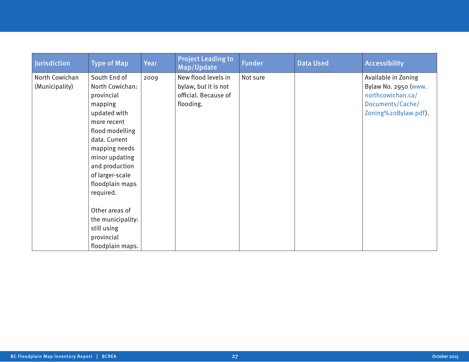| <b>Jurisdiction</b> | <b>Type of Map</b> | Year | <b>Project Leading to</b><br>Map/Update | <b>Funder</b> | <b>Data Used</b> | <b>Accessibility</b> |
|---------------------|--------------------|------|-----------------------------------------|---------------|------------------|----------------------|
| North Cowichan      | South End of       | 2009 | New flood levels in                     | Not sure      |                  | Available in Zoning  |
| (Municipality)      | North Cowichan:    |      | bylaw, but it is not                    |               |                  | Bylaw No. 2950 (www. |
|                     | provincial         |      | official. Because of                    |               |                  | northcowichan.ca/    |
|                     | mapping            |      | flooding.                               |               |                  | Documents/Cache/     |
|                     | updated with       |      |                                         |               |                  | Zoning%2oBylaw.pdf). |
|                     | more recent        |      |                                         |               |                  |                      |
|                     | flood modelling    |      |                                         |               |                  |                      |
|                     | data. Current      |      |                                         |               |                  |                      |
|                     | mapping needs      |      |                                         |               |                  |                      |
|                     | minor updating     |      |                                         |               |                  |                      |
|                     | and production     |      |                                         |               |                  |                      |
|                     | of larger-scale    |      |                                         |               |                  |                      |
|                     | floodplain maps    |      |                                         |               |                  |                      |
|                     | required.          |      |                                         |               |                  |                      |
|                     |                    |      |                                         |               |                  |                      |
|                     | Other areas of     |      |                                         |               |                  |                      |
|                     | the municipality:  |      |                                         |               |                  |                      |
|                     | still using        |      |                                         |               |                  |                      |
|                     | provincial         |      |                                         |               |                  |                      |
|                     | floodplain maps.   |      |                                         |               |                  |                      |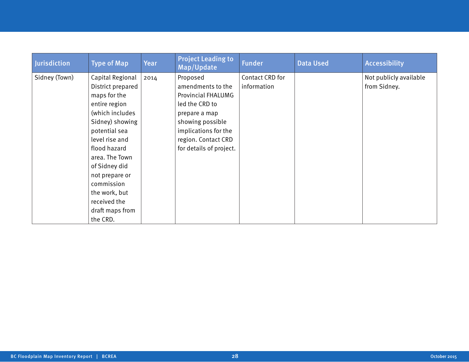| Jurisdiction  | <b>Type of Map</b> | Year | <b>Project Leading to</b><br>Map/Update | <b>Funder</b>   | <b>Data Used</b> | <b>Accessibility</b>   |
|---------------|--------------------|------|-----------------------------------------|-----------------|------------------|------------------------|
| Sidney (Town) | Capital Regional   | 2014 | Proposed                                | Contact CRD for |                  | Not publicly available |
|               | District prepared  |      | amendments to the                       | information     |                  | from Sidney.           |
|               | maps for the       |      | <b>Provincial FHALUMG</b>               |                 |                  |                        |
|               | entire region      |      | led the CRD to                          |                 |                  |                        |
|               | (which includes    |      | prepare a map                           |                 |                  |                        |
|               | Sidney) showing    |      | showing possible                        |                 |                  |                        |
|               | potential sea      |      | implications for the                    |                 |                  |                        |
|               | level rise and     |      | region. Contact CRD                     |                 |                  |                        |
|               | flood hazard       |      | for details of project.                 |                 |                  |                        |
|               | area. The Town     |      |                                         |                 |                  |                        |
|               | of Sidney did      |      |                                         |                 |                  |                        |
|               | not prepare or     |      |                                         |                 |                  |                        |
|               | commission         |      |                                         |                 |                  |                        |
|               | the work, but      |      |                                         |                 |                  |                        |
|               | received the       |      |                                         |                 |                  |                        |
|               | draft maps from    |      |                                         |                 |                  |                        |
|               | the CRD.           |      |                                         |                 |                  |                        |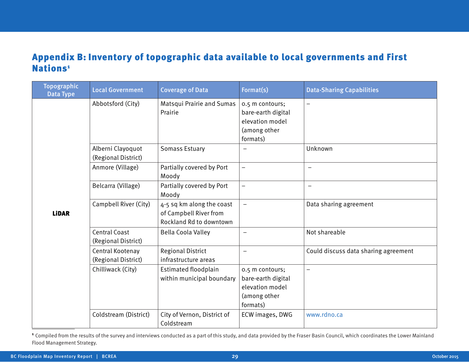## Appendix B: Inventory of topographic data available to local governments and First Nations<sup>1</sup>

| <b>Topographic</b><br>Data Type | <b>Local Government</b>                     | <b>Coverage of Data</b>                                                        | Format(s)                                                                            | <b>Data-Sharing Capabilities</b>     |
|---------------------------------|---------------------------------------------|--------------------------------------------------------------------------------|--------------------------------------------------------------------------------------|--------------------------------------|
|                                 | Abbotsford (City)                           | Matsqui Prairie and Sumas<br>Prairie                                           | 0.5 m contours;<br>bare-earth digital<br>elevation model<br>(among other<br>formats) | $\qquad \qquad -$                    |
|                                 | Alberni Clayoquot<br>(Regional District)    | <b>Somass Estuary</b>                                                          | $\equiv$                                                                             | Unknown                              |
|                                 | Anmore (Village)                            | Partially covered by Port<br>Moody                                             |                                                                                      |                                      |
|                                 | Belcarra (Village)                          | Partially covered by Port<br>Moody                                             | $\qquad \qquad -$                                                                    | $\qquad \qquad -$                    |
| <b>LiDAR</b>                    | Campbell River (City)                       | 4-5 sq km along the coast<br>of Campbell River from<br>Rockland Rd to downtown |                                                                                      | Data sharing agreement               |
|                                 | <b>Central Coast</b><br>(Regional District) | <b>Bella Coola Valley</b>                                                      | $\qquad \qquad -$                                                                    | Not shareable                        |
|                                 | Central Kootenay<br>(Regional District)     | <b>Regional District</b><br>infrastructure areas                               | $\overline{\phantom{0}}$                                                             | Could discuss data sharing agreement |
|                                 | Chilliwack (City)                           | Estimated floodplain<br>within municipal boundary                              | 0.5 m contours;<br>bare-earth digital<br>elevation model<br>(among other<br>formats) | $\overline{\phantom{0}}$             |
|                                 | Coldstream (District)                       | City of Vernon, District of<br>Coldstream                                      | ECW images, DWG                                                                      | www.rdno.ca                          |

<sup>1</sup> Compiled from the results of the survey and interviews conducted as a part of this study, and data provided by the Fraser Basin Council, which coordinates the Lower Mainland Flood Management Strategy.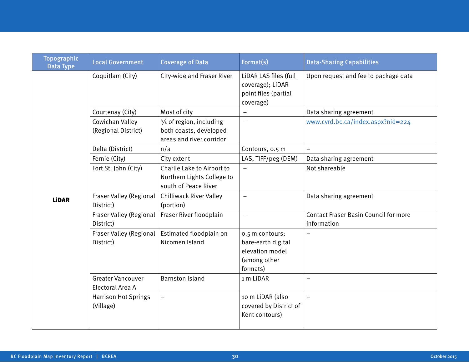| <b>Topographic</b><br>Data Type | <b>Local Government</b>                      | <b>Coverage of Data</b>                                                          | Format(s)                                                                            | <b>Data-Sharing Capabilities</b>                            |
|---------------------------------|----------------------------------------------|----------------------------------------------------------------------------------|--------------------------------------------------------------------------------------|-------------------------------------------------------------|
|                                 | Coquitlam (City)                             | City-wide and Fraser River                                                       | LiDAR LAS files (full<br>coverage); LiDAR<br>point files (partial<br>coverage)       | Upon request and fee to package data                        |
|                                 | Courtenay (City)                             | Most of city                                                                     | $\qquad \qquad -$                                                                    | Data sharing agreement                                      |
|                                 | Cowichan Valley<br>(Regional District)       | 3/4 of region, including<br>both coasts, developed<br>areas and river corridor   | $\frac{1}{2}$                                                                        | www.cvrd.bc.ca/index.aspx?nid=224                           |
|                                 | Delta (District)                             | n/a                                                                              | Contours, 0.5 m                                                                      |                                                             |
|                                 | Fernie (City)                                | City extent                                                                      | LAS, TIFF/peg (DEM)                                                                  | Data sharing agreement                                      |
|                                 | Fort St. John (City)                         | Charlie Lake to Airport to<br>Northern Lights College to<br>south of Peace River | $\overline{\phantom{m}}$                                                             | Not shareable                                               |
| <b>LiDAR</b>                    | Fraser Valley (Regional<br>District)         | <b>Chilliwack River Valley</b><br>(portion)                                      | $\overline{\phantom{0}}$                                                             | Data sharing agreement                                      |
|                                 | Fraser Valley (Regional<br>District)         | Fraser River floodplain                                                          | $\overline{\phantom{a}}$                                                             | <b>Contact Fraser Basin Council for more</b><br>information |
|                                 | Fraser Valley (Regional<br>District)         | Estimated floodplain on<br>Nicomen Island                                        | 0.5 m contours;<br>bare-earth digital<br>elevation model<br>(among other<br>formats) |                                                             |
|                                 | <b>Greater Vancouver</b><br>Electoral Area A | <b>Barnston Island</b>                                                           | 1 m LiDAR                                                                            | $\overline{\phantom{0}}$                                    |
|                                 | <b>Harrison Hot Springs</b><br>(Village)     | $\qquad \qquad -$                                                                | 10 m LiDAR (also<br>covered by District of<br>Kent contours)                         | $\frac{1}{2}$                                               |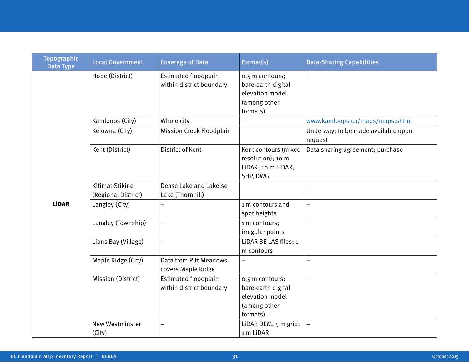| <b>Topographic</b><br><b>Local Government</b><br><b>Coverage of Data</b><br>Format(s)<br><b>Data Type</b>                                                                  | <b>Data-Sharing Capabilities</b>    |
|----------------------------------------------------------------------------------------------------------------------------------------------------------------------------|-------------------------------------|
| <b>Estimated floodplain</b><br>Hope (District)<br>0.5 m contours;<br>within district boundary<br>bare-earth digital<br>elevation model<br>(among other<br>formats)         |                                     |
| Kamloops (City)<br>Whole city                                                                                                                                              | www.kamloops.ca/maps/maps.shtml     |
| Kelowna (City)<br>Mission Creek Floodplain<br>$\equiv$<br>request                                                                                                          | Underway; to be made available upon |
| Kent (District)<br>District of Kent<br>Kent contours (mixed<br>resolution); 10 m<br>LiDAR; 10 m LiDAR,<br>SHP, DWG                                                         | Data sharing agreement; purchase    |
| Kitimat-Stikine<br>Dease Lake and Lakelse<br>$\qquad \qquad -$<br>╾<br>(Regional District)<br>Lake (Thornhill)                                                             |                                     |
| <b>LiDAR</b><br>Langley (City)<br>1 m contours and<br>$\overline{\phantom{0}}$<br>$\overline{\phantom{0}}$<br>spot heights                                                 |                                     |
| Langley (Township)<br>1 m contours;<br>$\overline{\phantom{0}}$<br>irregular points                                                                                        |                                     |
| LIDAR BE LAS files; 1<br>Lions Bay (Village)<br>$\overline{\phantom{0}}$<br>m contours                                                                                     |                                     |
| Maple Ridge (City)<br>Data from Pitt Meadows<br>▃<br>covers Maple Ridge                                                                                                    |                                     |
| Mission (District)<br>Estimated floodplain<br>0.5 m contours;<br>$\equiv$<br>within district boundary<br>bare-earth digital<br>elevation model<br>(among other<br>formats) |                                     |
| LiDAR DEM, 5 m grid;<br>New Westminster<br>$\overline{\phantom{0}}$<br>1 m LiDAR<br>(City)                                                                                 |                                     |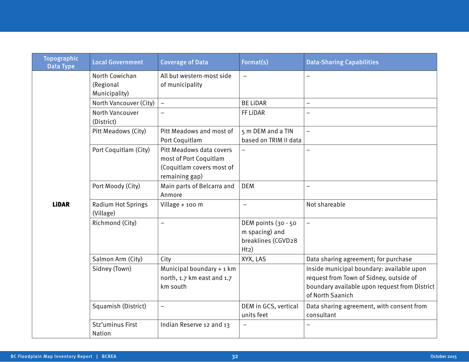| <b>Topographic</b><br><b>Data Type</b> | <b>Local Government</b>                      | <b>Coverage of Data</b>                                                                           | Format(s)                                                           | <b>Data-Sharing Capabilities</b>                                                                                                                          |
|----------------------------------------|----------------------------------------------|---------------------------------------------------------------------------------------------------|---------------------------------------------------------------------|-----------------------------------------------------------------------------------------------------------------------------------------------------------|
|                                        | North Cowichan<br>(Regional<br>Municipality) | All but western-most side<br>of municipality                                                      | $\qquad \qquad -$                                                   |                                                                                                                                                           |
|                                        | North Vancouver (City)                       | $\overline{\phantom{0}}$                                                                          | <b>BE LIDAR</b>                                                     | $\overline{\phantom{0}}$                                                                                                                                  |
|                                        | North Vancouver<br>(District)                | $\overline{\phantom{0}}$                                                                          | FF LiDAR                                                            |                                                                                                                                                           |
|                                        | Pitt Meadows (City)                          | Pitt Meadows and most of<br>Port Coquitlam                                                        | 5 m DEM and a TIN<br>based on TRIM II data                          | $\equiv$                                                                                                                                                  |
|                                        | Port Coquitlam (City)                        | Pitt Meadows data covers<br>most of Port Coquitlam<br>(Coquitlam covers most of<br>remaining gap) | $\qquad \qquad -$                                                   |                                                                                                                                                           |
|                                        | Port Moody (City)                            | Main parts of Belcarra and<br>Anmore                                                              | <b>DEM</b>                                                          |                                                                                                                                                           |
| <b>LiDAR</b>                           | <b>Radium Hot Springs</b><br>(Village)       | Village + 100 m                                                                                   | $\qquad \qquad -$                                                   | Not shareable                                                                                                                                             |
|                                        | Richmond (City)                              | $\overline{\phantom{0}}$                                                                          | DEM points (30 - 50<br>m spacing) and<br>breaklines (CGVD28<br>H(z) | $\equiv$                                                                                                                                                  |
|                                        | Salmon Arm (City)                            | City                                                                                              | XYX, LAS                                                            | Data sharing agreement; for purchase                                                                                                                      |
|                                        | Sidney (Town)                                | Municipal boundary + 1 km<br>north, 1.7 km east and 1.7<br>km south                               |                                                                     | Inside municipal boundary: available upon<br>request from Town of Sidney, outside of<br>boundary available upon request from District<br>of North Saanich |
|                                        | Squamish (District)                          | $\qquad \qquad -$                                                                                 | DEM in GCS, vertical<br>units feet                                  | Data sharing agreement, with consent from<br>consultant                                                                                                   |
|                                        | Stz'uminus First<br>Nation                   | Indian Reserve 12 and 13                                                                          | $\qquad \qquad -$                                                   |                                                                                                                                                           |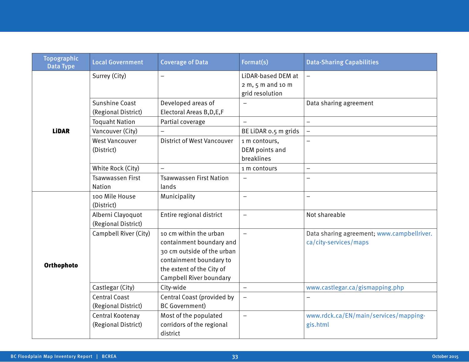| <b>Topographic</b><br><b>Data Type</b> | <b>Local Government</b>                      | <b>Coverage of Data</b>                                                                                                                                             | Format(s)                                                    | <b>Data-Sharing Capabilities</b>                                    |
|----------------------------------------|----------------------------------------------|---------------------------------------------------------------------------------------------------------------------------------------------------------------------|--------------------------------------------------------------|---------------------------------------------------------------------|
|                                        | Surrey (City)                                |                                                                                                                                                                     | LiDAR-based DEM at<br>$2 m, 5 m$ and 10 m<br>grid resolution |                                                                     |
|                                        | <b>Sunshine Coast</b><br>(Regional District) | Developed areas of<br>Electoral Areas B, D, E, F                                                                                                                    |                                                              | Data sharing agreement                                              |
|                                        | <b>Toquaht Nation</b>                        | Partial coverage                                                                                                                                                    | $\overline{\phantom{0}}$                                     |                                                                     |
| <b>LiDAR</b>                           | Vancouver (City)                             | $\overline{\phantom{m}}$                                                                                                                                            | BE LIDAR 0.5 m grids                                         | $\overline{\phantom{0}}$                                            |
|                                        | <b>West Vancouver</b><br>(District)          | <b>District of West Vancouver</b>                                                                                                                                   | 1 m contours,<br>DEM points and<br>breaklines                |                                                                     |
|                                        | White Rock (City)                            | $\overline{\phantom{m}}$                                                                                                                                            | 1 m contours                                                 | $\overline{\phantom{0}}$                                            |
|                                        | <b>Tsawwassen First</b><br><b>Nation</b>     | <b>Tsawwassen First Nation</b><br>lands                                                                                                                             | $\qquad \qquad -$                                            |                                                                     |
| Orthophoto                             | 100 Mile House<br>(District)                 | Municipality                                                                                                                                                        | $\overline{\phantom{0}}$                                     |                                                                     |
|                                        | Alberni Clayoquot<br>(Regional District)     | Entire regional district                                                                                                                                            | $\qquad \qquad -$                                            | Not shareable                                                       |
|                                        | Campbell River (City)                        | 10 cm within the urban<br>containment boundary and<br>30 cm outside of the urban<br>containment boundary to<br>the extent of the City of<br>Campbell River boundary | $\equiv$                                                     | Data sharing agreement; www.campbellriver.<br>ca/city-services/maps |
|                                        | Castlegar (City)                             | City-wide                                                                                                                                                           | $\qquad \qquad -$                                            | www.castlegar.ca/gismapping.php                                     |
|                                        | <b>Central Coast</b><br>(Regional District)  | Central Coast (provided by<br><b>BC</b> Government)                                                                                                                 | -                                                            |                                                                     |
|                                        | Central Kootenay<br>(Regional District)      | Most of the populated<br>corridors of the regional<br>district                                                                                                      | —                                                            | www.rdck.ca/EN/main/services/mapping-<br>gis.html                   |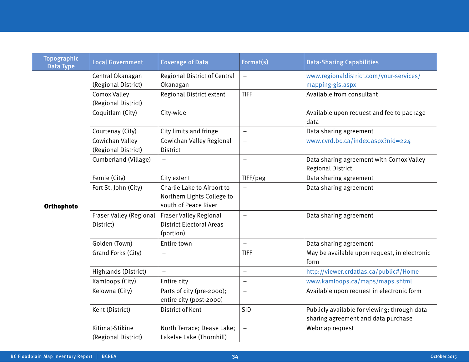| www.regionaldistrict.com/your-services/      |                                                       | Format(s)                | <b>Coverage of Data</b>                                                          | <b>Local Government</b>                | <b>Data Type</b> |
|----------------------------------------------|-------------------------------------------------------|--------------------------|----------------------------------------------------------------------------------|----------------------------------------|------------------|
|                                              |                                                       | $\qquad \qquad -$        | <b>Regional District of Central</b>                                              | Central Okanagan                       |                  |
|                                              | mapping-gis.aspx                                      |                          | Okanagan                                                                         | (Regional District)                    |                  |
|                                              | Available from consultant                             | <b>TIFF</b>              | <b>Regional District extent</b>                                                  | <b>Comox Valley</b>                    |                  |
|                                              |                                                       |                          |                                                                                  | (Regional District)                    |                  |
| Available upon request and fee to package    | data                                                  | $\equiv$                 | City-wide                                                                        | Coquitlam (City)                       |                  |
|                                              | Data sharing agreement                                | $\qquad \qquad -$        | City limits and fringe                                                           | Courtenay (City)                       |                  |
|                                              | www.cvrd.bc.ca/index.aspx?nid=224                     |                          | Cowichan Valley Regional                                                         | Cowichan Valley                        |                  |
|                                              |                                                       |                          | <b>District</b>                                                                  | (Regional District)                    |                  |
| Data sharing agreement with Comox Valley     | <b>Regional District</b>                              | $\equiv$                 |                                                                                  | Cumberland (Village)                   |                  |
|                                              | Data sharing agreement                                | TIFF/peg                 | City extent                                                                      | Fernie (City)                          |                  |
|                                              | Data sharing agreement                                |                          | Charlie Lake to Airport to<br>Northern Lights College to<br>south of Peace River | Fort St. John (City)                   | Orthophoto       |
|                                              | Data sharing agreement                                | $\qquad \qquad -$        | Fraser Valley Regional<br><b>District Electoral Areas</b><br>(portion)           | Fraser Valley (Regional<br>District)   |                  |
|                                              | Data sharing agreement                                | $\equiv$                 | Entire town                                                                      | Golden (Town)                          |                  |
| May be available upon request, in electronic | form                                                  | <b>TIFF</b>              |                                                                                  | Grand Forks (City)                     |                  |
|                                              | http://viewer.crdatlas.ca/public#/Home                | $\qquad \qquad -$        |                                                                                  | Highlands (District)                   |                  |
|                                              | www.kamloops.ca/maps/maps.shtml                       | $\equiv$                 | Entire city                                                                      | Kamloops (City)                        |                  |
| Available upon request in electronic form    |                                                       |                          | Parts of city (pre-2000);                                                        | Kelowna (City)                         |                  |
|                                              |                                                       |                          | entire city (post-2000)                                                          |                                        |                  |
| Publicly available for viewing; through data |                                                       | <b>SID</b>               | District of Kent                                                                 | Kent (District)                        |                  |
|                                              |                                                       |                          |                                                                                  |                                        |                  |
|                                              |                                                       |                          |                                                                                  |                                        |                  |
|                                              | sharing agreement and data purchase<br>Webmap request | $\overline{\phantom{0}}$ | North Terrace; Dease Lake;<br>Lakelse Lake (Thornhill)                           | Kitimat-Stikine<br>(Regional District) |                  |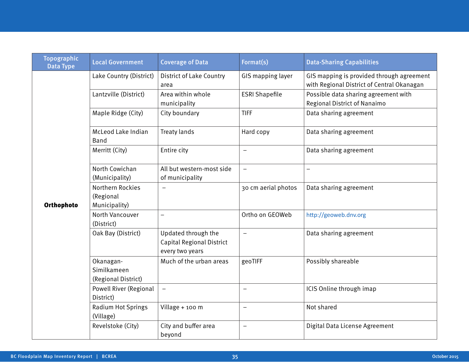| <b>Topographic</b><br><b>Data Type</b> | <b>Local Government</b>                         | <b>Coverage of Data</b>                                             | Format(s)                | <b>Data-Sharing Capabilities</b>                                                        |
|----------------------------------------|-------------------------------------------------|---------------------------------------------------------------------|--------------------------|-----------------------------------------------------------------------------------------|
|                                        | Lake Country (District)                         | <b>District of Lake Country</b><br>area                             | GIS mapping layer        | GIS mapping is provided through agreement<br>with Regional District of Central Okanagan |
|                                        | Lantzville (District)                           | Area within whole<br>municipality                                   | <b>ESRI Shapefile</b>    | Possible data sharing agreement with<br>Regional District of Nanaimo                    |
|                                        | Maple Ridge (City)                              | City boundary                                                       | <b>TIFF</b>              | Data sharing agreement                                                                  |
|                                        | McLeod Lake Indian<br>Band                      | Treaty lands                                                        | Hard copy                | Data sharing agreement                                                                  |
|                                        | Merritt (City)                                  | Entire city                                                         | $\overline{\phantom{m}}$ | Data sharing agreement                                                                  |
|                                        | North Cowichan<br>(Municipality)                | All but western-most side<br>of municipality                        | $\qquad \qquad -$        | $\qquad \qquad -$                                                                       |
| Orthophoto                             | Northern Rockies<br>(Regional<br>Municipality)  | $\overline{\phantom{m}}$                                            | 30 cm aerial photos      | Data sharing agreement                                                                  |
|                                        | North Vancouver<br>(District)                   | $\equiv$                                                            | Ortho on GEOWeb          | http://geoweb.dnv.org                                                                   |
|                                        | Oak Bay (District)                              | Updated through the<br>Capital Regional District<br>every two years | $\overline{\phantom{m}}$ | Data sharing agreement                                                                  |
|                                        | Okanagan-<br>Similkameen<br>(Regional District) | Much of the urban areas                                             | geoTIFF                  | Possibly shareable                                                                      |
|                                        | <b>Powell River (Regional</b><br>District)      | $\equiv$                                                            | $\equiv$                 | ICIS Online through imap                                                                |
|                                        | Radium Hot Springs<br>(Village)                 | Village + 100 m                                                     | $\equiv$                 | Not shared                                                                              |
|                                        | Revelstoke (City)                               | City and buffer area<br>beyond                                      | $\overline{\phantom{m}}$ | Digital Data License Agreement                                                          |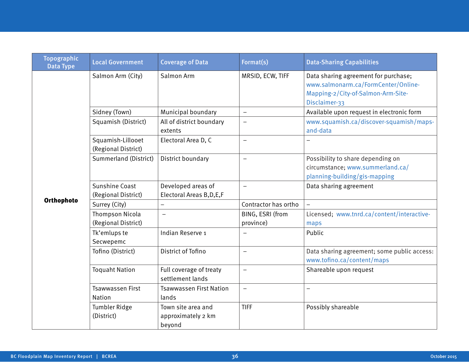| <b>Topographic</b><br><b>Data Type</b> | <b>Local Government</b>                  | <b>Coverage of Data</b>                            | Format(s)                     | <b>Data-Sharing Capabilities</b>                                                                                                   |
|----------------------------------------|------------------------------------------|----------------------------------------------------|-------------------------------|------------------------------------------------------------------------------------------------------------------------------------|
|                                        | Salmon Arm (City)                        | Salmon Arm                                         | MRSID, ECW, TIFF              | Data sharing agreement for purchase;<br>www.salmonarm.ca/FormCenter/Online-<br>Mapping-2/City-of-Salmon-Arm-Site-<br>Disclaimer-33 |
|                                        | Sidney (Town)                            | Municipal boundary                                 | $\qquad \qquad -$             | Available upon request in electronic form                                                                                          |
|                                        | Squamish (District)                      | All of district boundary<br>extents                | $\qquad \qquad -$             | www.squamish.ca/discover-squamish/maps-<br>and-data                                                                                |
|                                        | Squamish-Lillooet<br>(Regional District) | Electoral Area D, C                                | $\qquad \qquad -$             |                                                                                                                                    |
|                                        | Summerland (District)                    | District boundary                                  | $\equiv$                      | Possibility to share depending on<br>circumstance; www.summerland.ca/<br>planning-building/gis-mapping                             |
|                                        | Sunshine Coast<br>(Regional District)    | Developed areas of<br>Electoral Areas B, D, E, F   | $\overline{\phantom{0}}$      | Data sharing agreement                                                                                                             |
| Orthophoto                             | Surrey (City)                            |                                                    | Contractor has ortho          |                                                                                                                                    |
|                                        | Thompson Nicola<br>(Regional District)   | $\overline{\phantom{0}}$                           | BING, ESRI (from<br>province) | Licensed; www.tnrd.ca/content/interactive-<br>maps                                                                                 |
|                                        | Tk'emlups te<br>Secwepemc                | Indian Reserve 1                                   |                               | Public                                                                                                                             |
|                                        | Tofino (District)                        | District of Tofino                                 | $\overline{\phantom{0}}$      | Data sharing agreement; some public access:<br>www.tofino.ca/content/maps                                                          |
|                                        | <b>Toquaht Nation</b>                    | Full coverage of treaty<br>settlement lands        | $\qquad \qquad -$             | Shareable upon request                                                                                                             |
|                                        | <b>Tsawwassen First</b><br><b>Nation</b> | <b>Tsawwassen First Nation</b><br>lands            | $\overline{\phantom{0}}$      |                                                                                                                                    |
|                                        | <b>Tumbler Ridge</b><br>(District)       | Town site area and<br>approximately 2 km<br>beyond | <b>TIFF</b>                   | Possibly shareable                                                                                                                 |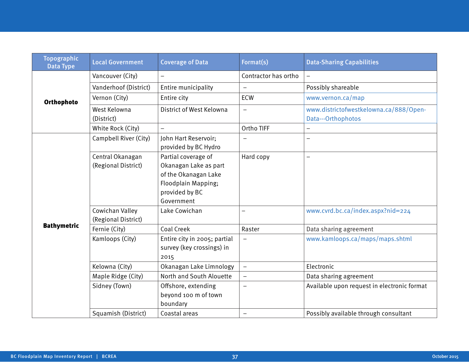| <b>Topographic</b><br><b>Data Type</b> | <b>Local Government</b>                 | <b>Coverage of Data</b>                                                                                                     | Format(s)                | <b>Data-Sharing Capabilities</b>                             |
|----------------------------------------|-----------------------------------------|-----------------------------------------------------------------------------------------------------------------------------|--------------------------|--------------------------------------------------------------|
|                                        | Vancouver (City)                        | -                                                                                                                           | Contractor has ortho     | $-$                                                          |
|                                        | Vanderhoof (District)                   | Entire municipality                                                                                                         |                          | Possibly shareable                                           |
| Orthophoto                             | Vernon (City)                           | Entire city                                                                                                                 | <b>ECW</b>               | www.vernon.ca/map                                            |
|                                        | West Kelowna<br>(District)              | District of West Kelowna                                                                                                    | $\qquad \qquad -$        | www.districtofwestkelowna.ca/888/Open-<br>Data---Orthophotos |
|                                        | White Rock (City)                       |                                                                                                                             | Ortho TIFF               |                                                              |
|                                        | Campbell River (City)                   | John Hart Reservoir;<br>provided by BC Hydro                                                                                |                          |                                                              |
|                                        | Central Okanagan<br>(Regional District) | Partial coverage of<br>Okanagan Lake as part<br>of the Okanagan Lake<br>Floodplain Mapping;<br>provided by BC<br>Government | Hard copy                | $\overline{\phantom{0}}$                                     |
|                                        | Cowichan Valley<br>(Regional District)  | Lake Cowichan                                                                                                               | $\overline{\phantom{0}}$ | www.cvrd.bc.ca/index.aspx?nid=224                            |
| <b>Bathymetric</b>                     | Fernie (City)                           | <b>Coal Creek</b>                                                                                                           | Raster                   | Data sharing agreement                                       |
|                                        | Kamloops (City)                         | Entire city in 2005; partial<br>survey (key crossings) in<br>2015                                                           | $\overline{\phantom{m}}$ | www.kamloops.ca/maps/maps.shtml                              |
|                                        | Kelowna (City)                          | Okanagan Lake Limnology                                                                                                     | $\qquad \qquad -$        | Electronic                                                   |
|                                        | Maple Ridge (City)                      | North and South Alouette                                                                                                    |                          | Data sharing agreement                                       |
|                                        | Sidney (Town)                           | Offshore, extending<br>beyond 100 m of town<br>boundary                                                                     |                          | Available upon request in electronic format                  |
|                                        | Squamish (District)                     | Coastal areas                                                                                                               | $\qquad \qquad -$        | Possibly available through consultant                        |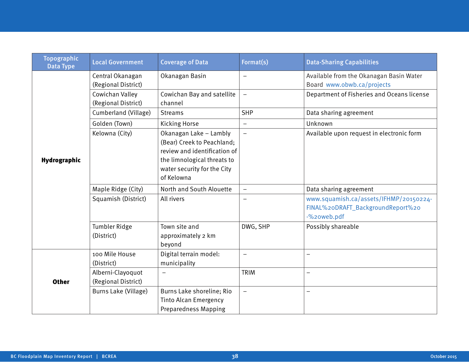| <b>Topographic</b><br><b>Data Type</b> | <b>Local Government</b>                  | <b>Coverage of Data</b>                                                                                                                                          | Format(s)                | <b>Data-Sharing Capabilities</b>                                                           |
|----------------------------------------|------------------------------------------|------------------------------------------------------------------------------------------------------------------------------------------------------------------|--------------------------|--------------------------------------------------------------------------------------------|
|                                        | Central Okanagan<br>(Regional District)  | Okanagan Basin                                                                                                                                                   | $\overline{\phantom{m}}$ | Available from the Okanagan Basin Water<br>Board www.obwb.ca/projects                      |
|                                        | Cowichan Valley<br>(Regional District)   | Cowichan Bay and satellite<br>channel                                                                                                                            | $\qquad \qquad -$        | Department of Fisheries and Oceans license                                                 |
|                                        | Cumberland (Village)                     | <b>Streams</b>                                                                                                                                                   | <b>SHP</b>               | Data sharing agreement                                                                     |
|                                        | Golden (Town)                            | <b>Kicking Horse</b>                                                                                                                                             | $\qquad \qquad -$        | Unknown                                                                                    |
| Hydrographic                           | Kelowna (City)                           | Okanagan Lake - Lambly<br>(Bear) Creek to Peachland;<br>review and identification of<br>the limnological threats to<br>water security for the City<br>of Kelowna | $\overline{\phantom{m}}$ | Available upon request in electronic form                                                  |
|                                        | Maple Ridge (City)                       | North and South Alouette                                                                                                                                         | $\overline{\phantom{m}}$ | Data sharing agreement                                                                     |
|                                        | Squamish (District)                      | All rivers                                                                                                                                                       |                          | www.squamish.ca/assets/IFHMP/20150224-<br>FINAL%20DRAFT_BackgroundReport%20<br>-%20web.pdf |
|                                        | <b>Tumbler Ridge</b><br>(District)       | Town site and<br>approximately 2 km<br>beyond                                                                                                                    | DWG, SHP                 | Possibly shareable                                                                         |
|                                        | 100 Mile House<br>(District)             | Digital terrain model:<br>municipality                                                                                                                           | $\equiv$                 | $\equiv$                                                                                   |
| <b>Other</b>                           | Alberni-Clayoquot<br>(Regional District) |                                                                                                                                                                  | <b>TRIM</b>              |                                                                                            |
|                                        | Burns Lake (Village)                     | Burns Lake shoreline; Rio<br><b>Tinto Alcan Emergency</b><br><b>Preparedness Mapping</b>                                                                         | $\equiv$                 | $\overline{\phantom{0}}$                                                                   |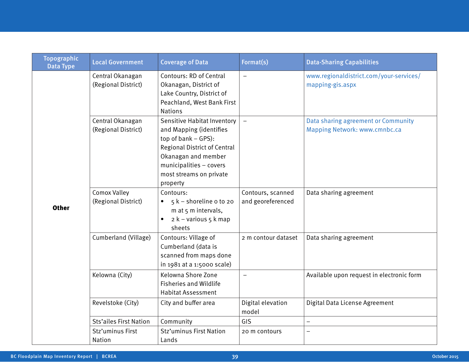| <b>Topographic</b><br><b>Data Type</b> | <b>Local Government</b>                 | <b>Coverage of Data</b>                                                                                                                                                                                              | Format(s)                              | <b>Data-Sharing Capabilities</b>                                     |
|----------------------------------------|-----------------------------------------|----------------------------------------------------------------------------------------------------------------------------------------------------------------------------------------------------------------------|----------------------------------------|----------------------------------------------------------------------|
|                                        | Central Okanagan<br>(Regional District) | Contours: RD of Central<br>Okanagan, District of<br>Lake Country, District of<br>Peachland, West Bank First<br><b>Nations</b>                                                                                        | $\qquad \qquad -$                      | www.regionaldistrict.com/your-services/<br>mapping-gis.aspx          |
|                                        | Central Okanagan<br>(Regional District) | <b>Sensitive Habitat Inventory</b><br>and Mapping (identifies<br>top of bank - GPS):<br><b>Regional District of Central</b><br>Okanagan and member<br>municipalities - covers<br>most streams on private<br>property | $\equiv$                               | Data sharing agreement or Community<br>Mapping Network: www.cmnbc.ca |
| <b>Other</b>                           | Comox Valley<br>(Regional District)     | Contours:<br>$5k -$ shoreline o to 20<br>m at 5 m intervals,<br>2 k – various 5 k map<br>$\bullet$<br>sheets                                                                                                         | Contours, scanned<br>and georeferenced | Data sharing agreement                                               |
|                                        | Cumberland (Village)                    | Contours: Village of<br>Cumberland (data is<br>scanned from maps done<br>in 1981 at a 1:5000 scale)                                                                                                                  | 2 m contour dataset                    | Data sharing agreement                                               |
|                                        | Kelowna (City)                          | Kelowna Shore Zone<br><b>Fisheries and Wildlife</b><br><b>Habitat Assessment</b>                                                                                                                                     | $\qquad \qquad -$                      | Available upon request in electronic form                            |
|                                        | Revelstoke (City)                       | City and buffer area                                                                                                                                                                                                 | Digital elevation<br>model             | Digital Data License Agreement                                       |
|                                        | <b>Sts'ailes First Nation</b>           | Community                                                                                                                                                                                                            | GIS                                    | $\overline{\phantom{0}}$                                             |
|                                        | Stz'uminus First<br>Nation              | Stz'uminus First Nation<br>Lands                                                                                                                                                                                     | 20 m contours                          | $\overline{\phantom{0}}$                                             |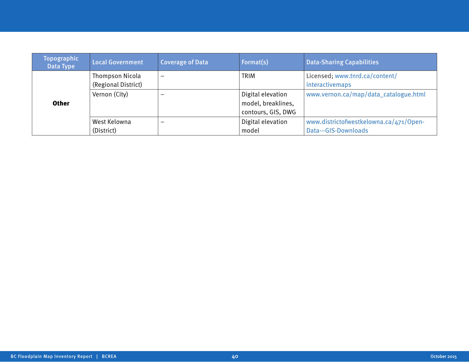| <b>Topographic</b><br>Data Type | <b>Local Government</b> | <b>Coverage of Data</b>  | Format(s)          | <b>Data-Sharing Capabilities</b>       |
|---------------------------------|-------------------------|--------------------------|--------------------|----------------------------------------|
|                                 | Thompson Nicola         | $\overline{\phantom{0}}$ | <b>TRIM</b>        | Licensed; www.tnrd.ca/content/         |
|                                 | (Regional District)     |                          |                    | interactivemaps                        |
|                                 | Vernon (City)           |                          | Digital elevation  | www.vernon.ca/map/data_catalogue.html  |
| <b>Other</b>                    |                         |                          | model, breaklines, |                                        |
|                                 |                         |                          | contours, GIS, DWG |                                        |
|                                 | West Kelowna            | $\overline{\phantom{0}}$ | Digital elevation  | www.districtofwestkelowna.ca/471/Open- |
|                                 | (District)              |                          | model              | Data---GIS-Downloads                   |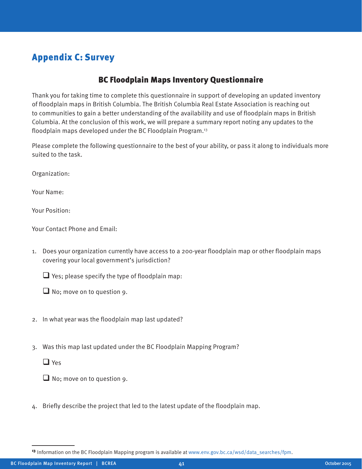# Appendix C: Survey

### BC Floodplain Maps Inventory Questionnaire

Thank you for taking time to complete this questionnaire in support of developing an updated inventory of floodplain maps in British Columbia. The British Columbia Real Estate Association is reaching out to communities to gain a better understanding of the availability and use of floodplain maps in British Columbia. At the conclusion of this work, we will prepare a summary report noting any updates to the floodplain maps developed under the BC Floodplain Program.<sup>13</sup>

Please complete the following questionnaire to the best of your ability, or pass it along to individuals more suited to the task.

Organization:

Your Name:

Your Position:

Your Contact Phone and Email:

1. Does your organization currently have access to a 200-year floodplain map or other floodplain maps covering your local government's jurisdiction?

 $\Box$  Yes; please specify the type of floodplain map:

 $\Box$  No; move on to question 9.

- 2. In what year was the floodplain map last updated?
- 3. Was this map last updated under the BC Floodplain Mapping Program?

□ Yes

 $\Box$  No; move on to question 9.

4. Briefly describe the project that led to the latest update of the floodplain map.

<sup>13</sup> Information on the BC Floodplain Mapping program is available at www.env.gov.bc.ca/wsd/data\_searches/fpm.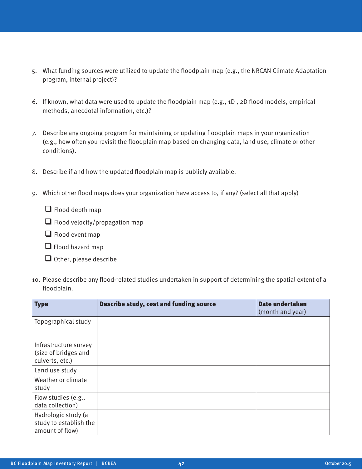- 5. What funding sources were utilized to update the floodplain map (e.g., the NRCAN Climate Adaptation program, internal project)?
- 6. If known, what data were used to update the floodplain map (e.g., 1D , 2D flood models, empirical methods, anecdotal information, etc.)?
- 7. Describe any ongoing program for maintaining or updating floodplain maps in your organization (e.g., how often you revisit the floodplain map based on changing data, land use, climate or other conditions).
- 8. Describe if and how the updated floodplain map is publicly available.
- 9. Which other flood maps does your organization have access to, if any? (select all that apply)
	- $\Box$  Flood depth map
	- $\Box$  Flood velocity/propagation map
	- $\Box$  Flood event map
	- $\Box$  Flood hazard map
	- $\Box$  Other, please describe
- 10. Please describe any flood-related studies undertaken in support of determining the spatial extent of a floodplain.

| <b>Type</b>                                                      | <b>Describe study, cost and funding source</b> | <b>Date undertaken</b><br>(month and year) |
|------------------------------------------------------------------|------------------------------------------------|--------------------------------------------|
| Topographical study                                              |                                                |                                            |
| Infrastructure survey<br>(size of bridges and<br>culverts, etc.) |                                                |                                            |
| Land use study                                                   |                                                |                                            |
| Weather or climate<br>study                                      |                                                |                                            |
| Flow studies (e.g.,<br>data collection)                          |                                                |                                            |
| Hydrologic study (a<br>study to establish the<br>amount of flow) |                                                |                                            |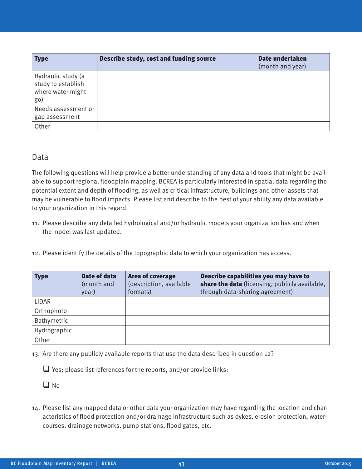| <b>Type</b>                                                          | Describe study, cost and funding source | Date undertaken<br>(month and year) |
|----------------------------------------------------------------------|-----------------------------------------|-------------------------------------|
| Hydraulic study (a<br>study to establish<br>where water might<br>go) |                                         |                                     |
| Needs assessment or<br>gap assessment                                |                                         |                                     |
| Other                                                                |                                         |                                     |

#### Data

The following questions will help provide a better understanding of any data and tools that might be available to support regional floodplain mapping. BCREA is particularly interested in spatial data regarding the potential extent and depth of flooding, as well as critical infrastructure, buildings and other assets that may be vulnerable to flood impacts. Please list and describe to the best of your ability any data available to your organization in this regard.

- 11. Please describe any detailed hydrological and/or hydraulic models your organization has and when the model was last updated.
- 12. Please identify the details of the topographic data to which your organization has access.

| <b>Type</b>  | Date of data<br>(month and<br>year) | <b>Area of coverage</b><br>(description, available<br>formats) | Describe capabilities you may have to<br>share the data (licensing, publicly available,<br>through data-sharing agreement) |
|--------------|-------------------------------------|----------------------------------------------------------------|----------------------------------------------------------------------------------------------------------------------------|
| LiDAR        |                                     |                                                                |                                                                                                                            |
| Orthophoto   |                                     |                                                                |                                                                                                                            |
| Bathymetric  |                                     |                                                                |                                                                                                                            |
| Hydrographic |                                     |                                                                |                                                                                                                            |
| Other        |                                     |                                                                |                                                                                                                            |

13. Are there any publicly available reports that use the data described in question 12?

 $\Box$  Yes; please list references for the reports, and/or provide links:

 $\Box$  No

14. Please list any mapped data or other data your organization may have regarding the location and characteristics of flood protection and/or drainage infrastructure such as dykes, erosion protection, watercourses, drainage networks, pump stations, flood gates, etc.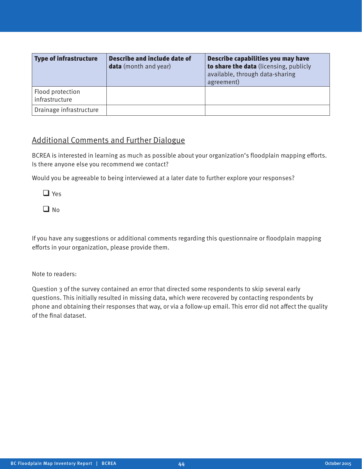| <b>Type of infrastructure</b>      | Describe and include date of<br><b>data</b> (month and year) | Describe capabilities you may have<br>to share the data (licensing, publicly<br>available, through data-sharing<br>agreement) |
|------------------------------------|--------------------------------------------------------------|-------------------------------------------------------------------------------------------------------------------------------|
| Flood protection<br>infrastructure |                                                              |                                                                                                                               |
| Drainage infrastructure            |                                                              |                                                                                                                               |

#### Additional Comments and Further Dialogue

BCREA is interested in learning as much as possible about your organization's floodplain mapping efforts. Is there anyone else you recommend we contact?

Would you be agreeable to being interviewed at a later date to further explore your responses?

□ Yes

 $\Box$  No.

If you have any suggestions or additional comments regarding this questionnaire or floodplain mapping efforts in your organization, please provide them.

Note to readers:

Question 3 of the survey contained an error that directed some respondents to skip several early questions. This initially resulted in missing data, which were recovered by contacting respondents by phone and obtaining their responses that way, or via a follow-up email. This error did not affect the quality of the final dataset.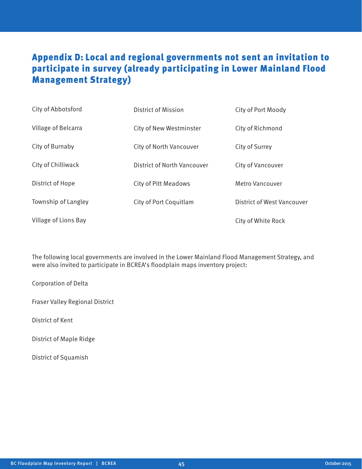# Appendix D: Local and regional governments not sent an invitation to participate in survey (already participating in Lower Mainland Flood Management Strategy)

| City of Abbotsford   | District of Mission         | City of Port Moody         |
|----------------------|-----------------------------|----------------------------|
| Village of Belcarra  | City of New Westminster     | City of Richmond           |
| City of Burnaby      | City of North Vancouver     | City of Surrey             |
| City of Chilliwack   | District of North Vancouver | City of Vancouver          |
| District of Hope     | <b>City of Pitt Meadows</b> | <b>Metro Vancouver</b>     |
| Township of Langley  | City of Port Coquitlam      | District of West Vancouver |
| Village of Lions Bay |                             | City of White Rock         |

The following local governments are involved in the Lower Mainland Flood Management Strategy, and were also invited to participate in BCREA's floodplain maps inventory project:

Corporation of Delta

Fraser Valley Regional District

District of Kent

District of Maple Ridge

District of Squamish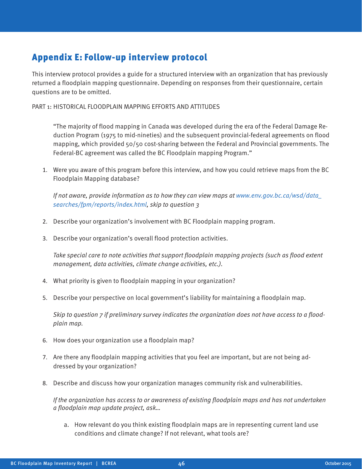# Appendix E: Follow-up interview protocol

This interview protocol provides a guide for a structured interview with an organization that has previously returned a floodplain mapping questionnaire. Depending on responses from their questionnaire, certain questions are to be omitted.

PART 1: HISTORICAL FLOODPLAIN MAPPING EFFORTS AND ATTITUDES

"The majority of flood mapping in Canada was developed during the era of the Federal Damage Reduction Program (1975 to mid-nineties) and the subsequent provincial-federal agreements on flood mapping, which provided 50/50 cost-sharing between the Federal and Provincial governments. The Federal-BC agreement was called the BC Floodplain mapping Program."

1. Were you aware of this program before this interview, and how you could retrieve maps from the BC Floodplain Mapping database?

If not aware, provide information as to how they can view maps at www.env.gov.bc.ca/wsd/data\_ searches/fpm/reports/index.html, skip to question 3

- 2. Describe your organization's involvement with BC Floodplain mapping program.
- 3. Describe your organization's overall flood protection activities.

Take special care to note activities that support floodplain mapping projects (such as flood extent management, data activities, climate change activities, etc.).

- 4. What priority is given to floodplain mapping in your organization?
- 5. Describe your perspective on local government's liability for maintaining a floodplain map.

Skip to question 7 if preliminary survey indicates the organization does not have access to a floodplain map.

- 6. How does your organization use a floodplain map?
- 7. Are there any floodplain mapping activities that you feel are important, but are not being addressed by your organization?
- 8. Describe and discuss how your organization manages community risk and vulnerabilities.

If the organization has access to or awareness of existing floodplain maps and has not undertaken a floodplain map update project, ask…

a. How relevant do you think existing floodplain maps are in representing current land use conditions and climate change? If not relevant, what tools are?